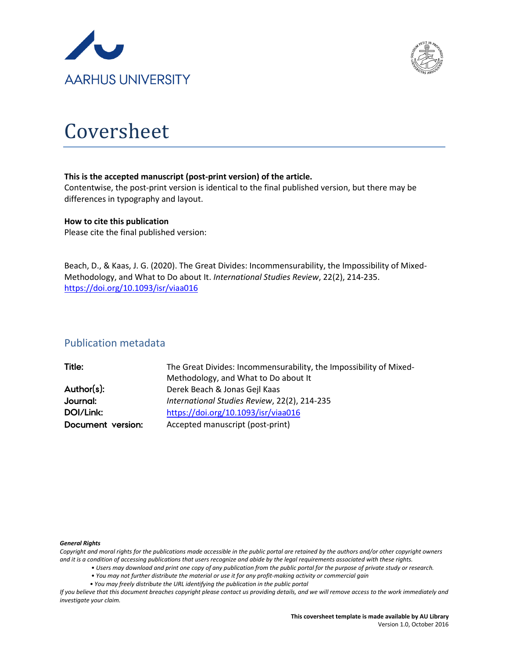



# Coversheet

#### **This is the accepted manuscript (post-print version) of the article.**

Contentwise, the post-print version is identical to the final published version, but there may be differences in typography and layout.

#### **How to cite this publication**

Please cite the final published version:

Beach, D., & Kaas, J. G. (2020). The Great Divides: Incommensurability, the Impossibility of Mixed-Methodology, and What to Do about It. *International Studies Review*, 22(2), 214-235. <https://doi.org/10.1093/isr/viaa016>

### Publication metadata

| Title:            | The Great Divides: Incommensurability, the Impossibility of Mixed- |  |  |
|-------------------|--------------------------------------------------------------------|--|--|
|                   | Methodology, and What to Do about It                               |  |  |
| Author(s):        | Derek Beach & Jonas Gejl Kaas                                      |  |  |
| Journal:          | International Studies Review, 22(2), 214-235                       |  |  |
| DOI/Link:         | https://doi.org/10.1093/isr/viaa016                                |  |  |
| Document version: | Accepted manuscript (post-print)                                   |  |  |

#### *General Rights*

*Copyright and moral rights for the publications made accessible in the public portal are retained by the authors and/or other copyright owners and it is a condition of accessing publications that users recognize and abide by the legal requirements associated with these rights.*

- *Users may download and print one copy of any publication from the public portal for the purpose of private study or research.*
- *You may not further distribute the material or use it for any profit-making activity or commercial gain*
- *You may freely distribute the URL identifying the publication in the public portal*

*If you believe that this document breaches copyright please contact us providing details, and we will remove access to the work immediately and investigate your claim.*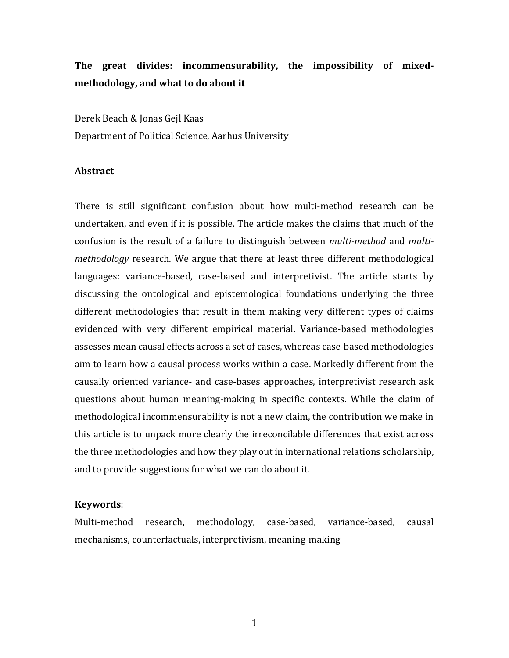## **The great divides: incommensurability, the impossibility of mixedmethodology, and what to do about it**

Derek Beach & Jonas Gejl Kaas Department of Political Science, Aarhus University

#### **Abstract**

There is still significant confusion about how multi-method research can be undertaken, and even if it is possible. The article makes the claims that much of the confusion is the result of a failure to distinguish between *multi-method* and *multimethodology* research. We argue that there at least three different methodological languages: variance-based, case-based and interpretivist. The article starts by discussing the ontological and epistemological foundations underlying the three different methodologies that result in them making very different types of claims evidenced with very different empirical material. Variance-based methodologies assesses mean causal effects across a set of cases, whereas case-based methodologies aim to learn how a causal process works within a case. Markedly different from the causally oriented variance- and case-bases approaches, interpretivist research ask questions about human meaning-making in specific contexts. While the claim of methodological incommensurability is not a new claim, the contribution we make in this article is to unpack more clearly the irreconcilable differences that exist across the three methodologies and how they play out in international relations scholarship, and to provide suggestions for what we can do about it.

#### **Keywords**:

Multi-method research, methodology, case-based, variance-based, causal mechanisms, counterfactuals, interpretivism, meaning-making

1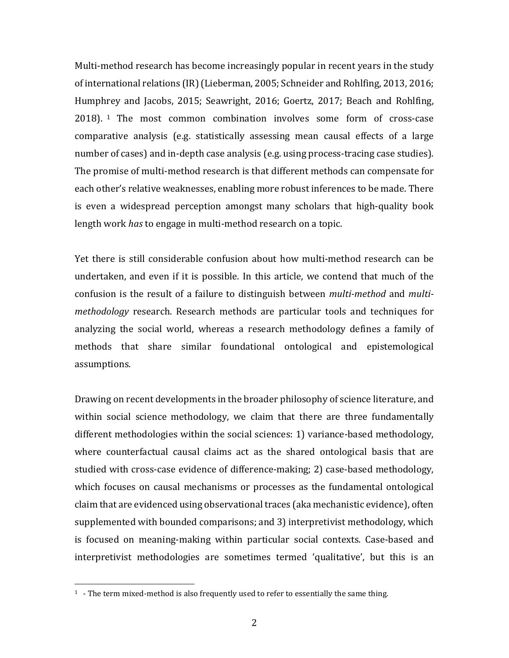Multi-method research has become increasingly popular in recent years in the study of international relations (IR) (Lieberman, 2005; Schneider and Rohlfing, 2013, 2016; Humphrey and Jacobs, 2015; Seawright, 2016; Goertz, 2017; Beach and Rohlfing, 2018). [1](#page-2-0) The most common combination involves some form of cross-case comparative analysis (e.g. statistically assessing mean causal effects of a large number of cases) and in-depth case analysis (e.g. using process-tracing case studies). The promise of multi-method research is that different methods can compensate for each other's relative weaknesses, enabling more robust inferences to be made. There is even a widespread perception amongst many scholars that high-quality book length work *has* to engage in multi-method research on a topic.

Yet there is still considerable confusion about how multi-method research can be undertaken, and even if it is possible. In this article, we contend that much of the confusion is the result of a failure to distinguish between *multi-method* and *multimethodology* research. Research methods are particular tools and techniques for analyzing the social world, whereas a research methodology defines a family of methods that share similar foundational ontological and epistemological assumptions.

Drawing on recent developments in the broader philosophy of science literature, and within social science methodology, we claim that there are three fundamentally different methodologies within the social sciences: 1) variance-based methodology, where counterfactual causal claims act as the shared ontological basis that are studied with cross-case evidence of difference-making; 2) case-based methodology, which focuses on causal mechanisms or processes as the fundamental ontological claim that are evidenced using observational traces (aka mechanistic evidence), often supplemented with bounded comparisons; and 3) interpretivist methodology, which is focused on meaning-making within particular social contexts. Case-based and interpretivist methodologies are sometimes termed 'qualitative', but this is an

<span id="page-2-0"></span> $<sup>1</sup>$  - The term mixed-method is also frequently used to refer to essentially the same thing.</sup>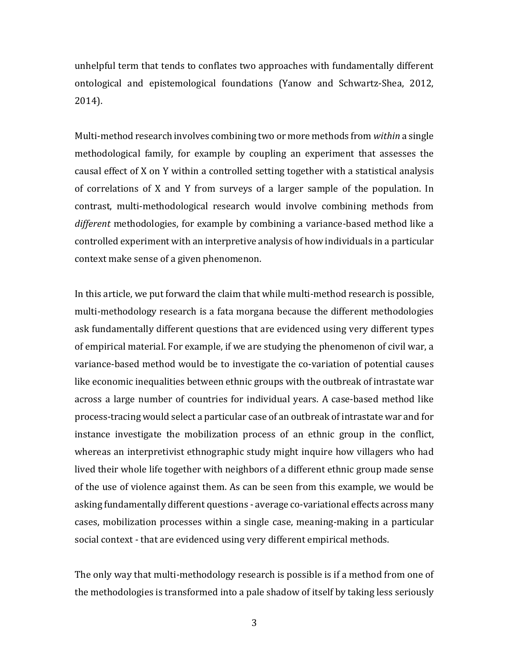unhelpful term that tends to conflates two approaches with fundamentally different ontological and epistemological foundations (Yanow and Schwartz-Shea, 2012, 2014).

Multi-method research involves combining two or more methods from *within* a single methodological family, for example by coupling an experiment that assesses the causal effect of X on Y within a controlled setting together with a statistical analysis of correlations of X and Y from surveys of a larger sample of the population. In contrast, multi-methodological research would involve combining methods from *different* methodologies, for example by combining a variance-based method like a controlled experiment with an interpretive analysis of how individuals in a particular context make sense of a given phenomenon.

In this article, we put forward the claim that while multi-method research is possible, multi-methodology research is a fata morgana because the different methodologies ask fundamentally different questions that are evidenced using very different types of empirical material. For example, if we are studying the phenomenon of civil war, a variance-based method would be to investigate the co-variation of potential causes like economic inequalities between ethnic groups with the outbreak of intrastate war across a large number of countries for individual years. A case-based method like process-tracing would select a particular case of an outbreak of intrastate war and for instance investigate the mobilization process of an ethnic group in the conflict, whereas an interpretivist ethnographic study might inquire how villagers who had lived their whole life together with neighbors of a different ethnic group made sense of the use of violence against them. As can be seen from this example, we would be asking fundamentally different questions - average co-variational effects across many cases, mobilization processes within a single case, meaning-making in a particular social context - that are evidenced using very different empirical methods.

The only way that multi-methodology research is possible is if a method from one of the methodologies is transformed into a pale shadow of itself by taking less seriously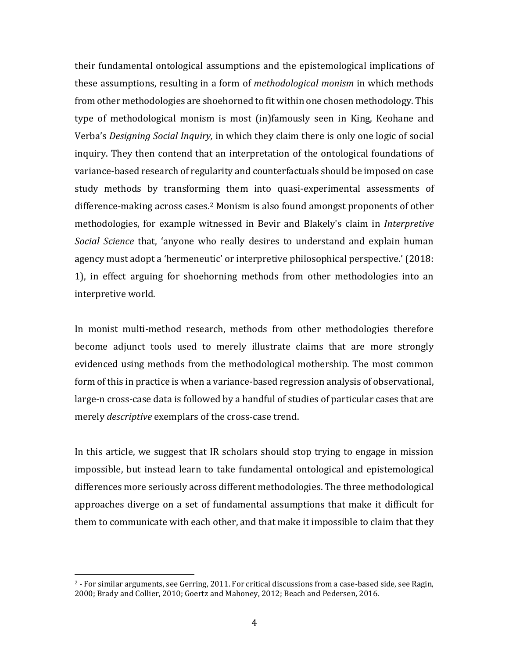their fundamental ontological assumptions and the epistemological implications of these assumptions, resulting in a form of *methodological monism* in which methods from other methodologies are shoehorned to fit within one chosen methodology. This type of methodological monism is most (in)famously seen in King, Keohane and Verba's *Designing Social Inquiry,* in which they claim there is only one logic of social inquiry. They then contend that an interpretation of the ontological foundations of variance-based research of regularity and counterfactuals should be imposed on case study methods by transforming them into quasi-experimental assessments of difference-making across cases.[2](#page-4-0) Monism is also found amongst proponents of other methodologies, for example witnessed in Bevir and Blakely's claim in *Interpretive Social Science* that, 'anyone who really desires to understand and explain human agency must adopt a 'hermeneutic' or interpretive philosophical perspective.' (2018: 1), in effect arguing for shoehorning methods from other methodologies into an interpretive world.

In monist multi-method research, methods from other methodologies therefore become adjunct tools used to merely illustrate claims that are more strongly evidenced using methods from the methodological mothership. The most common form of this in practice is when a variance-based regression analysis of observational, large-n cross-case data is followed by a handful of studies of particular cases that are merely *descriptive* exemplars of the cross-case trend.

In this article, we suggest that IR scholars should stop trying to engage in mission impossible, but instead learn to take fundamental ontological and epistemological differences more seriously across different methodologies. The three methodological approaches diverge on a set of fundamental assumptions that make it difficult for them to communicate with each other, and that make it impossible to claim that they

<span id="page-4-0"></span> $2$  - For similar arguments, see Gerring, 2011. For critical discussions from a case-based side, see Ragin, 2000; Brady and Collier, 2010; Goertz and Mahoney, 2012; Beach and Pedersen, 2016.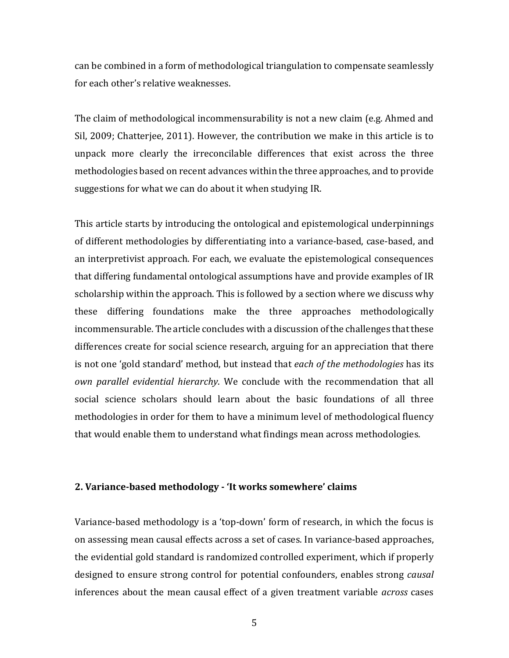can be combined in a form of methodological triangulation to compensate seamlessly for each other's relative weaknesses.

The claim of methodological incommensurability is not a new claim (e.g. Ahmed and Sil, 2009; Chatterjee, 2011). However, the contribution we make in this article is to unpack more clearly the irreconcilable differences that exist across the three methodologies based on recent advances within the three approaches, and to provide suggestions for what we can do about it when studying IR.

This article starts by introducing the ontological and epistemological underpinnings of different methodologies by differentiating into a variance-based, case-based, and an interpretivist approach. For each, we evaluate the epistemological consequences that differing fundamental ontological assumptions have and provide examples of IR scholarship within the approach. This is followed by a section where we discuss why these differing foundations make the three approaches methodologically incommensurable. The article concludes with a discussion of the challenges that these differences create for social science research, arguing for an appreciation that there is not one 'gold standard' method, but instead that *each of the methodologies* has its *own parallel evidential hierarchy*. We conclude with the recommendation that all social science scholars should learn about the basic foundations of all three methodologies in order for them to have a minimum level of methodological fluency that would enable them to understand what findings mean across methodologies.

#### **2. Variance-based methodology - 'It works somewhere' claims**

Variance-based methodology is a 'top-down' form of research, in which the focus is on assessing mean causal effects across a set of cases. In variance-based approaches, the evidential gold standard is randomized controlled experiment, which if properly designed to ensure strong control for potential confounders, enables strong *causal* inferences about the mean causal effect of a given treatment variable *across* cases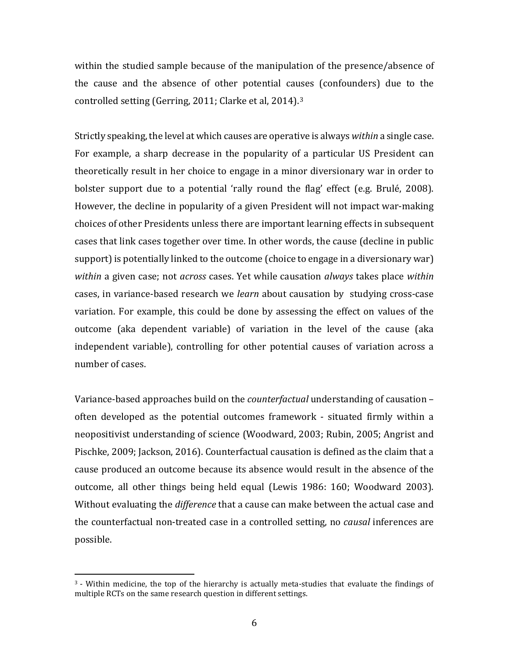within the studied sample because of the manipulation of the presence/absence of the cause and the absence of other potential causes (confounders) due to the controlled setting (Gerring, 2011; Clarke et al, 2014).[3](#page-6-0)

Strictly speaking, the level at which causes are operative is always *within* a single case. For example, a sharp decrease in the popularity of a particular US President can theoretically result in her choice to engage in a minor diversionary war in order to bolster support due to a potential 'rally round the flag' effect (e.g. Brulé, 2008). However, the decline in popularity of a given President will not impact war-making choices of other Presidents unless there are important learning effects in subsequent cases that link cases together over time. In other words, the cause (decline in public support) is potentially linked to the outcome (choice to engage in a diversionary war) *within* a given case; not *across* cases. Yet while causation *always* takes place *within* cases, in variance-based research we *learn* about causation by studying cross-case variation. For example, this could be done by assessing the effect on values of the outcome (aka dependent variable) of variation in the level of the cause (aka independent variable), controlling for other potential causes of variation across a number of cases.

Variance-based approaches build on the *counterfactual* understanding of causation – often developed as the potential outcomes framework - situated firmly within a neopositivist understanding of science (Woodward, 2003; Rubin, 2005; Angrist and Pischke, 2009; Jackson, 2016). Counterfactual causation is defined as the claim that a cause produced an outcome because its absence would result in the absence of the outcome, all other things being held equal (Lewis 1986: 160; Woodward 2003). Without evaluating the *difference* that a cause can make between the actual case and the counterfactual non-treated case in a controlled setting, no *causal* inferences are possible.

<span id="page-6-0"></span> $3$  - Within medicine, the top of the hierarchy is actually meta-studies that evaluate the findings of multiple RCTs on the same research question in different settings.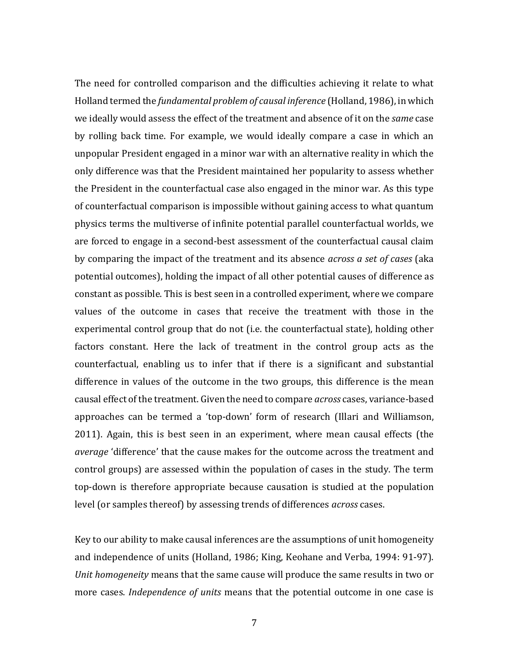The need for controlled comparison and the difficulties achieving it relate to what Holland termed the *fundamental problem of causal inference* (Holland, 1986), in which we ideally would assess the effect of the treatment and absence of it on the *same* case by rolling back time. For example, we would ideally compare a case in which an unpopular President engaged in a minor war with an alternative reality in which the only difference was that the President maintained her popularity to assess whether the President in the counterfactual case also engaged in the minor war. As this type of counterfactual comparison is impossible without gaining access to what quantum physics terms the multiverse of infinite potential parallel counterfactual worlds, we are forced to engage in a second-best assessment of the counterfactual causal claim by comparing the impact of the treatment and its absence *across a set of cases* (aka potential outcomes), holding the impact of all other potential causes of difference as constant as possible. This is best seen in a controlled experiment, where we compare values of the outcome in cases that receive the treatment with those in the experimental control group that do not (i.e. the counterfactual state), holding other factors constant. Here the lack of treatment in the control group acts as the counterfactual, enabling us to infer that if there is a significant and substantial difference in values of the outcome in the two groups, this difference is the mean causal effect of the treatment. Given the need to compare *across* cases, variance-based approaches can be termed a 'top-down' form of research (Illari and Williamson, 2011). Again, this is best seen in an experiment, where mean causal effects (the *average* 'difference' that the cause makes for the outcome across the treatment and control groups) are assessed within the population of cases in the study. The term top-down is therefore appropriate because causation is studied at the population level (or samples thereof) by assessing trends of differences *across* cases.

Key to our ability to make causal inferences are the assumptions of unit homogeneity and independence of units (Holland, 1986; King, Keohane and Verba, 1994: 91-97). *Unit homogeneity* means that the same cause will produce the same results in two or more cases. *Independence of units* means that the potential outcome in one case is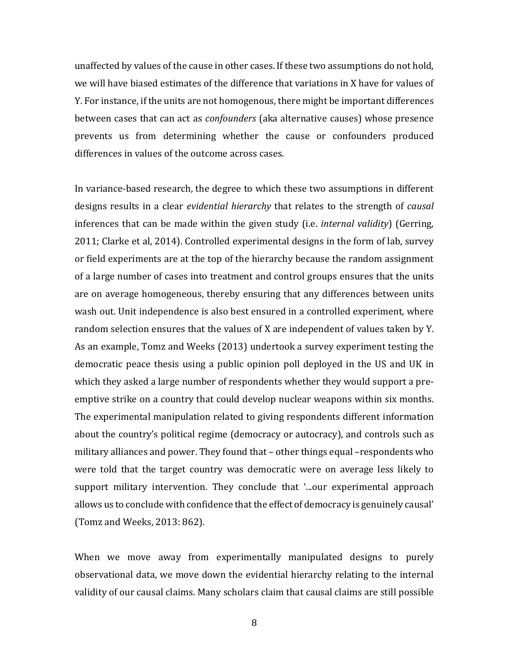unaffected by values of the cause in other cases. If these two assumptions do not hold, we will have biased estimates of the difference that variations in X have for values of Y. For instance, if the units are not homogenous, there might be important differences between cases that can act as *confounders* (aka alternative causes) whose presence prevents us from determining whether the cause or confounders produced differences in values of the outcome across cases.

In variance-based research, the degree to which these two assumptions in different designs results in a clear *evidential hierarchy* that relates to the strength of *causal* inferences that can be made within the given study (i.e. *internal validity*) (Gerring, 2011; Clarke et al, 2014). Controlled experimental designs in the form of lab, survey or field experiments are at the top of the hierarchy because the random assignment of a large number of cases into treatment and control groups ensures that the units are on average homogeneous, thereby ensuring that any differences between units wash out. Unit independence is also best ensured in a controlled experiment, where random selection ensures that the values of X are independent of values taken by Y. As an example, Tomz and Weeks (2013) undertook a survey experiment testing the democratic peace thesis using a public opinion poll deployed in the US and UK in which they asked a large number of respondents whether they would support a preemptive strike on a country that could develop nuclear weapons within six months. The experimental manipulation related to giving respondents different information about the country's political regime (democracy or autocracy), and controls such as military alliances and power. They found that – other things equal –respondents who were told that the target country was democratic were on average less likely to support military intervention. They conclude that '...our experimental approach allows us to conclude with confidence that the effect of democracy is genuinely causal' (Tomz and Weeks, 2013: 862).

When we move away from experimentally manipulated designs to purely observational data, we move down the evidential hierarchy relating to the internal validity of our causal claims. Many scholars claim that causal claims are still possible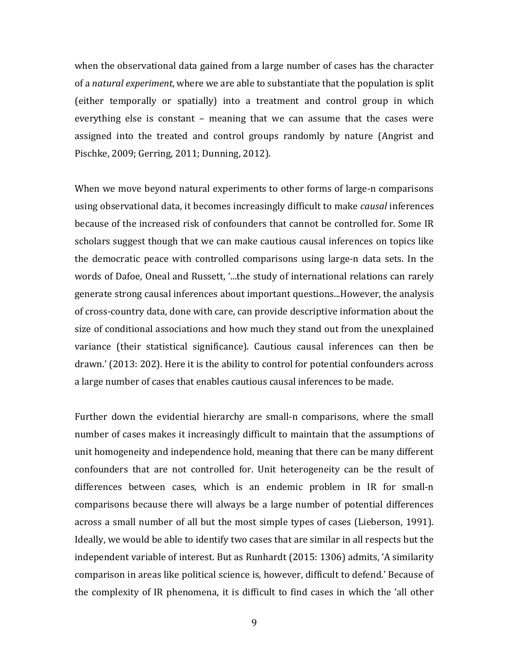when the observational data gained from a large number of cases has the character of a *natural experiment*, where we are able to substantiate that the population is split (either temporally or spatially) into a treatment and control group in which everything else is constant – meaning that we can assume that the cases were assigned into the treated and control groups randomly by nature (Angrist and Pischke, 2009; Gerring, 2011; Dunning, 2012).

When we move beyond natural experiments to other forms of large-n comparisons using observational data, it becomes increasingly difficult to make *causal* inferences because of the increased risk of confounders that cannot be controlled for. Some IR scholars suggest though that we can make cautious causal inferences on topics like the democratic peace with controlled comparisons using large-n data sets. In the words of Dafoe, Oneal and Russett, '...the study of international relations can rarely generate strong causal inferences about important questions...However, the analysis of cross-country data, done with care, can provide descriptive information about the size of conditional associations and how much they stand out from the unexplained variance (their statistical significance). Cautious causal inferences can then be drawn.' (2013: 202). Here it is the ability to control for potential confounders across a large number of cases that enables cautious causal inferences to be made.

Further down the evidential hierarchy are small-n comparisons, where the small number of cases makes it increasingly difficult to maintain that the assumptions of unit homogeneity and independence hold, meaning that there can be many different confounders that are not controlled for. Unit heterogeneity can be the result of differences between cases, which is an endemic problem in IR for small-n comparisons because there will always be a large number of potential differences across a small number of all but the most simple types of cases (Lieberson, 1991). Ideally, we would be able to identify two cases that are similar in all respects but the independent variable of interest. But as Runhardt (2015: 1306) admits, 'A similarity comparison in areas like political science is, however, difficult to defend.' Because of the complexity of IR phenomena, it is difficult to find cases in which the 'all other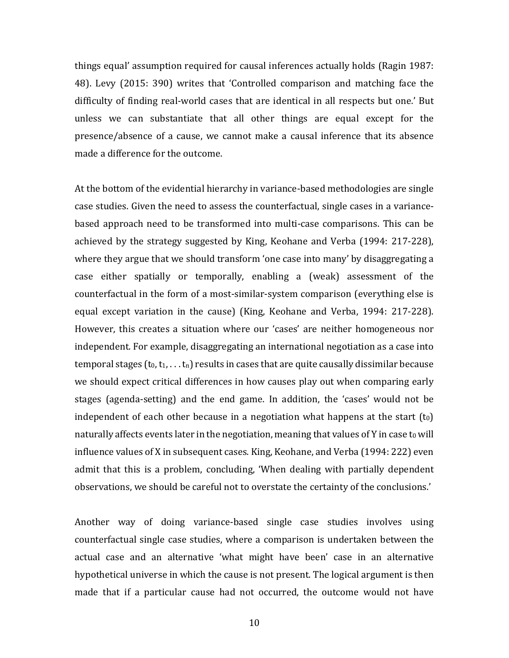things equal' assumption required for causal inferences actually holds (Ragin 1987: 48). Levy (2015: 390) writes that 'Controlled comparison and matching face the difficulty of finding real-world cases that are identical in all respects but one.' But unless we can substantiate that all other things are equal except for the presence/absence of a cause, we cannot make a causal inference that its absence made a difference for the outcome.

At the bottom of the evidential hierarchy in variance-based methodologies are single case studies. Given the need to assess the counterfactual, single cases in a variancebased approach need to be transformed into multi-case comparisons. This can be achieved by the strategy suggested by King, Keohane and Verba (1994: 217-228), where they argue that we should transform 'one case into many' by disaggregating a case either spatially or temporally, enabling a (weak) assessment of the counterfactual in the form of a most-similar-system comparison (everything else is equal except variation in the cause) (King, Keohane and Verba, 1994: 217-228). However, this creates a situation where our 'cases' are neither homogeneous nor independent. For example, disaggregating an international negotiation as a case into temporal stages  $(t_0, t_1, \ldots t_n)$  results in cases that are quite causally dissimilar because we should expect critical differences in how causes play out when comparing early stages (agenda-setting) and the end game. In addition, the 'cases' would not be independent of each other because in a negotiation what happens at the start  $(t_0)$ naturally affects events later in the negotiation, meaning that values of Y in case to will influence values of X in subsequent cases. King, Keohane, and Verba (1994: 222) even admit that this is a problem, concluding, 'When dealing with partially dependent observations, we should be careful not to overstate the certainty of the conclusions.'

Another way of doing variance-based single case studies involves using counterfactual single case studies, where a comparison is undertaken between the actual case and an alternative 'what might have been' case in an alternative hypothetical universe in which the cause is not present. The logical argument is then made that if a particular cause had not occurred, the outcome would not have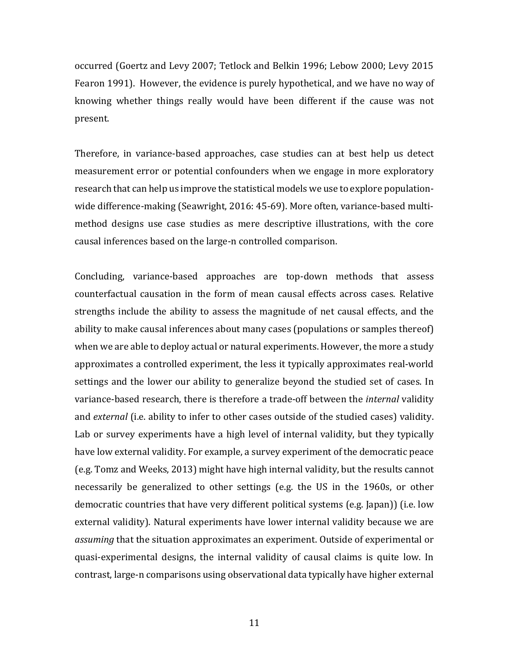occurred (Goertz and Levy 2007; Tetlock and Belkin 1996; Lebow 2000; Levy 2015 Fearon 1991). However, the evidence is purely hypothetical, and we have no way of knowing whether things really would have been different if the cause was not present.

Therefore, in variance-based approaches, case studies can at best help us detect measurement error or potential confounders when we engage in more exploratory research that can help us improve the statistical models we use to explore populationwide difference-making (Seawright, 2016: 45-69). More often, variance-based multimethod designs use case studies as mere descriptive illustrations, with the core causal inferences based on the large-n controlled comparison.

Concluding, variance-based approaches are top-down methods that assess counterfactual causation in the form of mean causal effects across cases. Relative strengths include the ability to assess the magnitude of net causal effects, and the ability to make causal inferences about many cases (populations or samples thereof) when we are able to deploy actual or natural experiments. However, the more a study approximates a controlled experiment, the less it typically approximates real-world settings and the lower our ability to generalize beyond the studied set of cases. In variance-based research, there is therefore a trade-off between the *internal* validity and *external* (i.e. ability to infer to other cases outside of the studied cases) validity. Lab or survey experiments have a high level of internal validity, but they typically have low external validity. For example, a survey experiment of the democratic peace (e.g. Tomz and Weeks, 2013) might have high internal validity, but the results cannot necessarily be generalized to other settings (e.g. the US in the 1960s, or other democratic countries that have very different political systems (e.g. Japan)) (i.e. low external validity). Natural experiments have lower internal validity because we are *assuming* that the situation approximates an experiment. Outside of experimental or quasi-experimental designs, the internal validity of causal claims is quite low. In contrast, large-n comparisons using observational data typically have higher external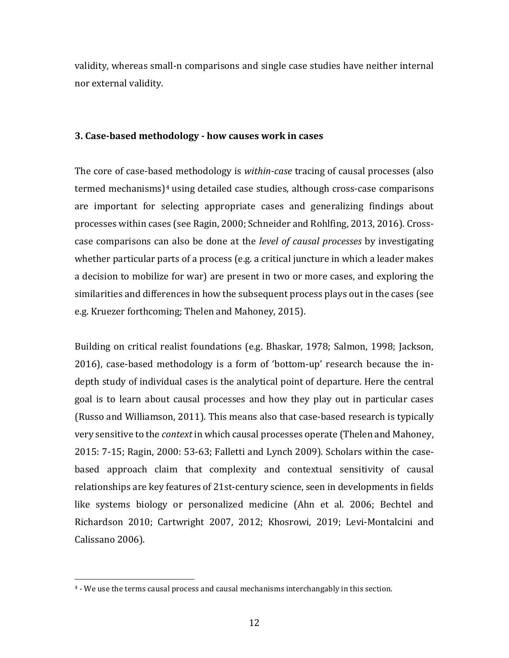validity, whereas small-n comparisons and single case studies have neither internal nor external validity.

#### **3. Case-based methodology - how causes work in cases**

The core of case-based methodology is *within-case* tracing of causal processes (also termed mechanisms)[4](#page-12-0) using detailed case studies, although cross-case comparisons are important for selecting appropriate cases and generalizing findings about processes within cases (see Ragin, 2000; Schneider and Rohlfing, 2013, 2016). Crosscase comparisons can also be done at the *level of causal processes* by investigating whether particular parts of a process (e.g. a critical juncture in which a leader makes a decision to mobilize for war) are present in two or more cases, and exploring the similarities and differences in how the subsequent process plays out in the cases (see e.g. Kruezer forthcoming; Thelen and Mahoney, 2015).

Building on critical realist foundations (e.g. Bhaskar, 1978; Salmon, 1998; Jackson, 2016), case-based methodology is a form of 'bottom-up' research because the indepth study of individual cases is the analytical point of departure. Here the central goal is to learn about causal processes and how they play out in particular cases (Russo and Williamson, 2011). This means also that case-based research is typically very sensitive to the *context* in which causal processes operate (Thelen and Mahoney, 2015: 7-15; Ragin, 2000: 53-63; Falletti and Lynch 2009). Scholars within the casebased approach claim that complexity and contextual sensitivity of causal relationships are key features of 21st-century science, seen in developments in fields like systems biology or personalized medicine (Ahn et al. 2006; Bechtel and Richardson 2010; Cartwright 2007, 2012; Khosrowi, 2019; Levi-Montalcini and Calissano 2006).

<span id="page-12-0"></span> <sup>4</sup> - We use the terms causal process and causal mechanisms interchangably in this section.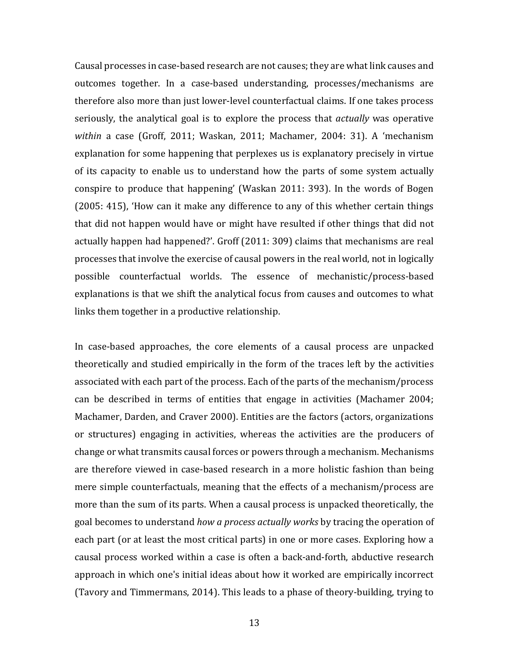Causal processes in case-based research are not causes; they are what link causes and outcomes together. In a case-based understanding, processes/mechanisms are therefore also more than just lower-level counterfactual claims. If one takes process seriously, the analytical goal is to explore the process that *actually* was operative *within* a case (Groff, 2011; Waskan, 2011; Machamer, 2004: 31). A 'mechanism explanation for some happening that perplexes us is explanatory precisely in virtue of its capacity to enable us to understand how the parts of some system actually conspire to produce that happening' (Waskan 2011: 393). In the words of Bogen (2005: 415), 'How can it make any difference to any of this whether certain things that did not happen would have or might have resulted if other things that did not actually happen had happened?'. Groff (2011: 309) claims that mechanisms are real processes that involve the exercise of causal powers in the real world, not in logically possible counterfactual worlds. The essence of mechanistic/process-based explanations is that we shift the analytical focus from causes and outcomes to what links them together in a productive relationship.

In case-based approaches, the core elements of a causal process are unpacked theoretically and studied empirically in the form of the traces left by the activities associated with each part of the process. Each of the parts of the mechanism/process can be described in terms of entities that engage in activities (Machamer 2004; Machamer, Darden, and Craver 2000). Entities are the factors (actors, organizations or structures) engaging in activities, whereas the activities are the producers of change or what transmits causal forces or powers through a mechanism. Mechanisms are therefore viewed in case-based research in a more holistic fashion than being mere simple counterfactuals, meaning that the effects of a mechanism/process are more than the sum of its parts. When a causal process is unpacked theoretically, the goal becomes to understand *how a process actually works* by tracing the operation of each part (or at least the most critical parts) in one or more cases. Exploring how a causal process worked within a case is often a back-and-forth, abductive research approach in which one's initial ideas about how it worked are empirically incorrect (Tavory and Timmermans, 2014). This leads to a phase of theory-building, trying to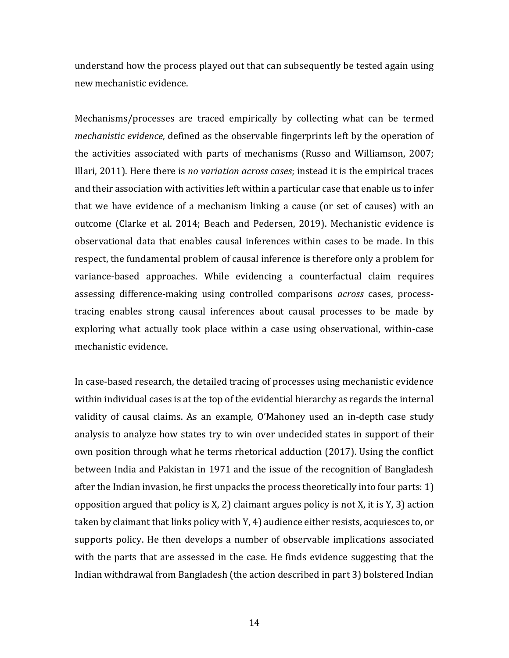understand how the process played out that can subsequently be tested again using new mechanistic evidence.

Mechanisms/processes are traced empirically by collecting what can be termed *mechanistic evidence*, defined as the observable fingerprints left by the operation of the activities associated with parts of mechanisms (Russo and Williamson, 2007; Illari, 2011). Here there is *no variation across cases*; instead it is the empirical traces and their association with activities left within a particular case that enable us to infer that we have evidence of a mechanism linking a cause (or set of causes) with an outcome (Clarke et al. 2014; Beach and Pedersen, 2019). Mechanistic evidence is observational data that enables causal inferences within cases to be made. In this respect, the fundamental problem of causal inference is therefore only a problem for variance-based approaches. While evidencing a counterfactual claim requires assessing difference-making using controlled comparisons *across* cases, processtracing enables strong causal inferences about causal processes to be made by exploring what actually took place within a case using observational, within-case mechanistic evidence.

In case-based research, the detailed tracing of processes using mechanistic evidence within individual cases is at the top of the evidential hierarchy as regards the internal validity of causal claims. As an example, O'Mahoney used an in-depth case study analysis to analyze how states try to win over undecided states in support of their own position through what he terms rhetorical adduction (2017). Using the conflict between India and Pakistan in 1971 and the issue of the recognition of Bangladesh after the Indian invasion, he first unpacks the process theoretically into four parts: 1) opposition argued that policy is X, 2) claimant argues policy is not X, it is  $Y$ , 3) action taken by claimant that links policy with Y, 4) audience either resists, acquiesces to, or supports policy. He then develops a number of observable implications associated with the parts that are assessed in the case. He finds evidence suggesting that the Indian withdrawal from Bangladesh (the action described in part 3) bolstered Indian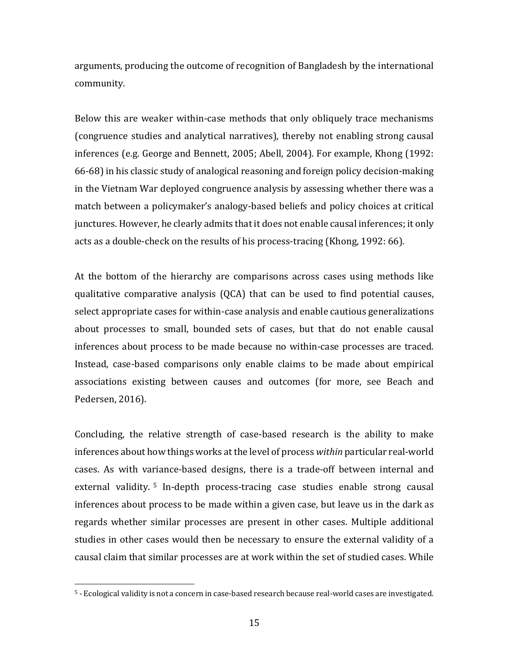arguments, producing the outcome of recognition of Bangladesh by the international community.

Below this are weaker within-case methods that only obliquely trace mechanisms (congruence studies and analytical narratives), thereby not enabling strong causal inferences (e.g. George and Bennett, 2005; Abell, 2004). For example, Khong (1992: 66-68) in his classic study of analogical reasoning and foreign policy decision-making in the Vietnam War deployed congruence analysis by assessing whether there was a match between a policymaker's analogy-based beliefs and policy choices at critical junctures. However, he clearly admits that it does not enable causal inferences; it only acts as a double-check on the results of his process-tracing (Khong, 1992: 66).

At the bottom of the hierarchy are comparisons across cases using methods like qualitative comparative analysis (QCA) that can be used to find potential causes, select appropriate cases for within-case analysis and enable cautious generalizations about processes to small, bounded sets of cases, but that do not enable causal inferences about process to be made because no within-case processes are traced. Instead, case-based comparisons only enable claims to be made about empirical associations existing between causes and outcomes (for more, see Beach and Pedersen, 2016).

Concluding, the relative strength of case-based research is the ability to make inferences about how things works at the level of process *within* particular real-world cases. As with variance-based designs, there is a trade-off between internal and external validity. [5](#page-15-0) In-depth process-tracing case studies enable strong causal inferences about process to be made within a given case, but leave us in the dark as regards whether similar processes are present in other cases. Multiple additional studies in other cases would then be necessary to ensure the external validity of a causal claim that similar processes are at work within the set of studied cases. While

<span id="page-15-0"></span> <sup>5</sup> - Ecological validity is not a concern in case-based research because real-world cases are investigated.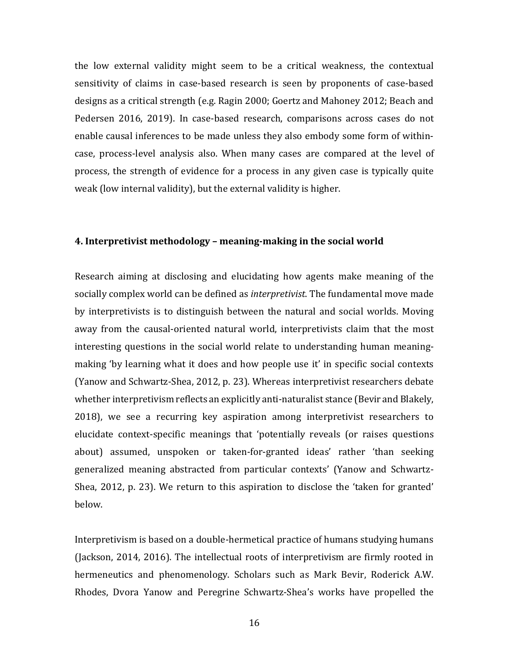the low external validity might seem to be a critical weakness, the contextual sensitivity of claims in case-based research is seen by proponents of case-based designs as a critical strength (e.g. Ragin 2000; Goertz and Mahoney 2012; Beach and Pedersen 2016, 2019). In case-based research, comparisons across cases do not enable causal inferences to be made unless they also embody some form of withincase, process-level analysis also. When many cases are compared at the level of process, the strength of evidence for a process in any given case is typically quite weak (low internal validity), but the external validity is higher.

#### **4. Interpretivist methodology – meaning-making in the social world**

Research aiming at disclosing and elucidating how agents make meaning of the socially complex world can be defined as *interpretivist*. The fundamental move made by interpretivists is to distinguish between the natural and social worlds. Moving away from the causal-oriented natural world, interpretivists claim that the most interesting questions in the social world relate to understanding human meaningmaking 'by learning what it does and how people use it' in specific social contexts (Yanow and Schwartz-Shea, 2012, p. 23). Whereas interpretivist researchers debate whether interpretivism reflects an explicitly anti-naturalist stance (Bevir and Blakely, 2018), we see a recurring key aspiration among interpretivist researchers to elucidate context-specific meanings that 'potentially reveals (or raises questions about) assumed, unspoken or taken-for-granted ideas' rather 'than seeking generalized meaning abstracted from particular contexts' (Yanow and Schwartz-Shea, 2012, p. 23). We return to this aspiration to disclose the 'taken for granted' below.

Interpretivism is based on a double-hermetical practice of humans studying humans (Jackson, 2014, 2016). The intellectual roots of interpretivism are firmly rooted in hermeneutics and phenomenology. Scholars such as Mark Bevir, Roderick A.W. Rhodes, Dvora Yanow and Peregrine Schwartz-Shea's works have propelled the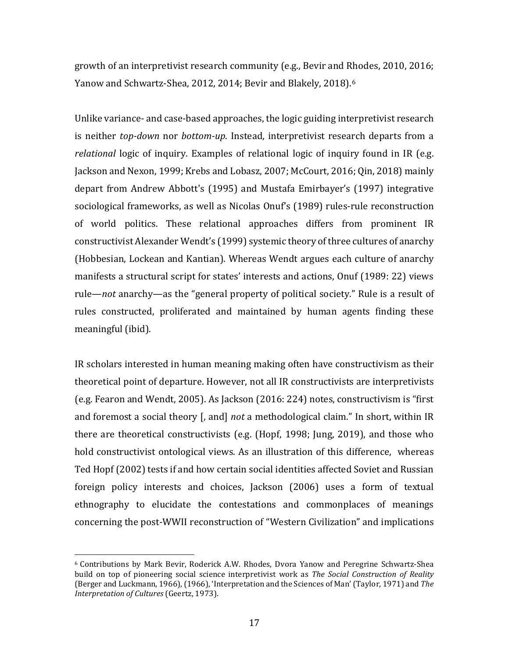growth of an interpretivist research community (e.g., Bevir and Rhodes, 2010, 2016; Yanow and Schwartz-Shea, 2012, 2014; Bevir and Blakely, 2018).[6](#page-17-0)

Unlike variance- and case-based approaches, the logic guiding interpretivist research is neither *top-down* nor *bottom-up*. Instead, interpretivist research departs from a *relational* logic of inquiry. Examples of relational logic of inquiry found in IR (e.g. Jackson and Nexon, 1999; Krebs and Lobasz, 2007; McCourt, 2016; Qin, 2018) mainly depart from Andrew Abbott's (1995) and Mustafa Emirbayer's (1997) integrative sociological frameworks, as well as Nicolas Onuf's (1989) rules-rule reconstruction of world politics. These relational approaches differs from prominent IR constructivist Alexander Wendt's (1999) systemic theory of three cultures of anarchy (Hobbesian, Lockean and Kantian). Whereas Wendt argues each culture of anarchy manifests a structural script for states' interests and actions, Onuf (1989: 22) views rule—*not* anarchy—as the "general property of political society." Rule is a result of rules constructed, proliferated and maintained by human agents finding these meaningful (ibid).

IR scholars interested in human meaning making often have constructivism as their theoretical point of departure. However, not all IR constructivists are interpretivists (e.g. Fearon and Wendt, 2005). As Jackson (2016: 224) notes, constructivism is "first and foremost a social theory [, and] *not* a methodological claim." In short, within IR there are theoretical constructivists (e.g. (Hopf, 1998; Jung, 2019), and those who hold constructivist ontological views. As an illustration of this difference, whereas Ted Hopf (2002) tests if and how certain social identities affected Soviet and Russian foreign policy interests and choices, Jackson (2006) uses a form of textual ethnography to elucidate the contestations and commonplaces of meanings concerning the post-WWII reconstruction of "Western Civilization" and implications

<span id="page-17-0"></span> <sup>6</sup> Contributions by Mark Bevir, Roderick A.W. Rhodes, Dvora Yanow and Peregrine Schwartz-Shea build on top of pioneering social science interpretivist work as *The Social Construction of Reality* (Berger and Luckmann, 1966), (1966), 'Interpretation and the Sciences of Man' (Taylor, 1971) and *The Interpretation of Cultures* (Geertz, 1973).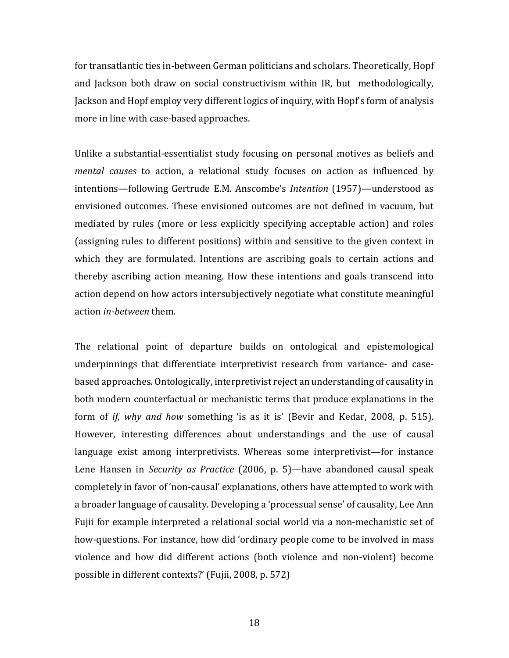for transatlantic ties in-between German politicians and scholars. Theoretically, Hopf and Jackson both draw on social constructivism within IR, but methodologically, Jackson and Hopf employ very different logics of inquiry, with Hopf's form of analysis more in line with case-based approaches.

Unlike a substantial-essentialist study focusing on personal motives as beliefs and *mental causes* to action, a relational study focuses on action as influenced by intentions—following Gertrude E.M. Anscombe's *Intention* (1957)—understood as envisioned outcomes. These envisioned outcomes are not defined in vacuum, but mediated by rules (more or less explicitly specifying acceptable action) and roles (assigning rules to different positions) within and sensitive to the given context in which they are formulated. Intentions are ascribing goals to certain actions and thereby ascribing action meaning. How these intentions and goals transcend into action depend on how actors intersubjectively negotiate what constitute meaningful action *in-between* them.

The relational point of departure builds on ontological and epistemological underpinnings that differentiate interpretivist research from variance- and casebased approaches. Ontologically, interpretivist reject an understanding of causality in both modern counterfactual or mechanistic terms that produce explanations in the form of *if, why and how* something 'is as it is' (Bevir and Kedar, 2008, p. 515). However, interesting differences about understandings and the use of causal language exist among interpretivists. Whereas some interpretivist—for instance Lene Hansen in *Security as Practice* (2006, p. 5)—have abandoned causal speak completely in favor of 'non-causal' explanations, others have attempted to work with a broader language of causality. Developing a 'processual sense' of causality, Lee Ann Fujii for example interpreted a relational social world via a non-mechanistic set of how-questions. For instance, how did 'ordinary people come to be involved in mass violence and how did different actions (both violence and non-violent) become possible in different contexts?' (Fujii, 2008, p. 572)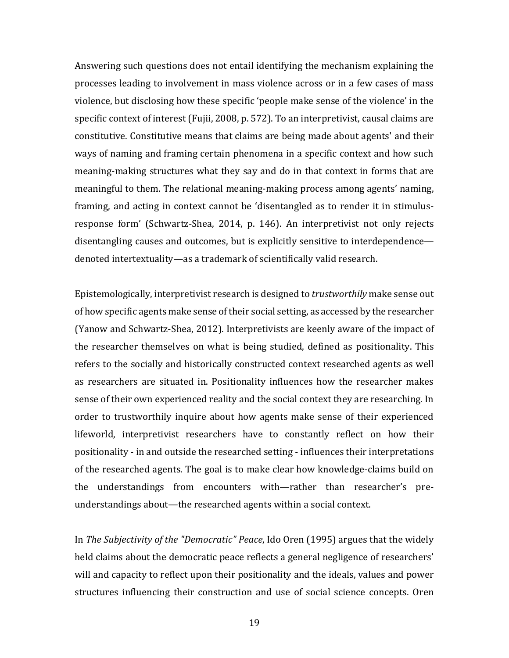Answering such questions does not entail identifying the mechanism explaining the processes leading to involvement in mass violence across or in a few cases of mass violence, but disclosing how these specific 'people make sense of the violence' in the specific context of interest (Fujii, 2008, p. 572). To an interpretivist, causal claims are constitutive. Constitutive means that claims are being made about agents' and their ways of naming and framing certain phenomena in a specific context and how such meaning-making structures what they say and do in that context in forms that are meaningful to them. The relational meaning-making process among agents' naming, framing, and acting in context cannot be 'disentangled as to render it in stimulusresponse form' (Schwartz-Shea, 2014, p. 146). An interpretivist not only rejects disentangling causes and outcomes, but is explicitly sensitive to interdependence denoted intertextuality—as a trademark of scientifically valid research.

Epistemologically, interpretivist research is designed to *trustworthily* make sense out of how specific agents make sense oftheir social setting, as accessed by the researcher (Yanow and Schwartz-Shea, 2012). Interpretivists are keenly aware of the impact of the researcher themselves on what is being studied, defined as positionality. This refers to the socially and historically constructed context researched agents as well as researchers are situated in. Positionality influences how the researcher makes sense of their own experienced reality and the social context they are researching. In order to trustworthily inquire about how agents make sense of their experienced lifeworld, interpretivist researchers have to constantly reflect on how their positionality - in and outside the researched setting - influences their interpretations of the researched agents. The goal is to make clear how knowledge-claims build on the understandings from encounters with—rather than researcher's preunderstandings about—the researched agents within a social context.

In *The Subjectivity of the "Democratic" Peace*, Ido Oren (1995) argues that the widely held claims about the democratic peace reflects a general negligence of researchers' will and capacity to reflect upon their positionality and the ideals, values and power structures influencing their construction and use of social science concepts. Oren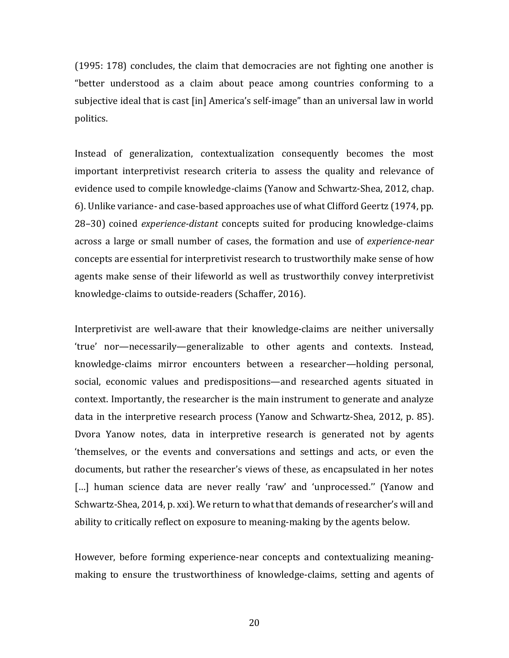(1995: 178) concludes, the claim that democracies are not fighting one another is "better understood as a claim about peace among countries conforming to a subjective ideal that is cast [in] America's self-image" than an universal law in world politics.

Instead of generalization, contextualization consequently becomes the most important interpretivist research criteria to assess the quality and relevance of evidence used to compile knowledge-claims (Yanow and Schwartz-Shea, 2012, chap. 6). Unlike variance- and case-based approaches use of what Clifford Geertz (1974, pp. 28–30) coined *experience-distant* concepts suited for producing knowledge-claims across a large or small number of cases, the formation and use of *experience-near* concepts are essential for interpretivist research to trustworthily make sense of how agents make sense of their lifeworld as well as trustworthily convey interpretivist knowledge-claims to outside-readers (Schaffer, 2016).

Interpretivist are well-aware that their knowledge-claims are neither universally 'true' nor—necessarily—generalizable to other agents and contexts. Instead, knowledge-claims mirror encounters between a researcher—holding personal, social, economic values and predispositions—and researched agents situated in context. Importantly, the researcher is the main instrument to generate and analyze data in the interpretive research process (Yanow and Schwartz-Shea, 2012, p. 85). Dvora Yanow notes, data in interpretive research is generated not by agents 'themselves, or the events and conversations and settings and acts, or even the documents, but rather the researcher's views of these, as encapsulated in her notes [...] human science data are never really 'raw' and 'unprocessed." (Yanow and Schwartz-Shea, 2014, p. xxi). We return to what that demands of researcher's will and ability to critically reflect on exposure to meaning-making by the agents below.

However, before forming experience-near concepts and contextualizing meaningmaking to ensure the trustworthiness of knowledge-claims, setting and agents of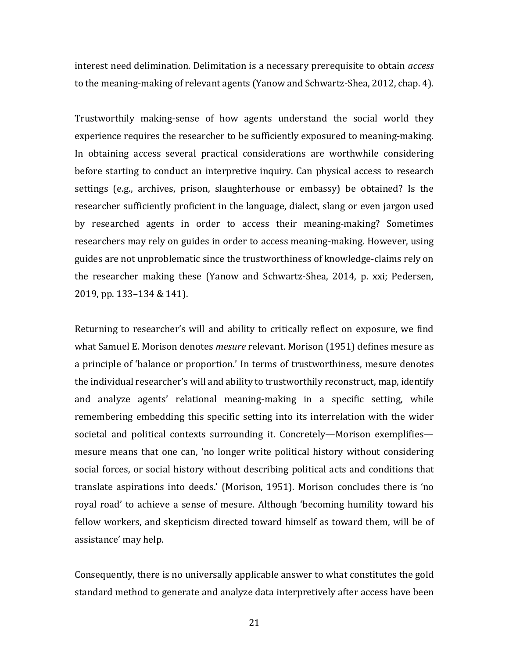interest need delimination. Delimitation is a necessary prerequisite to obtain *access* to the meaning-making of relevant agents (Yanow and Schwartz-Shea, 2012, chap. 4).

Trustworthily making-sense of how agents understand the social world they experience requires the researcher to be sufficiently exposured to meaning-making. In obtaining access several practical considerations are worthwhile considering before starting to conduct an interpretive inquiry. Can physical access to research settings (e.g., archives, prison, slaughterhouse or embassy) be obtained? Is the researcher sufficiently proficient in the language, dialect, slang or even jargon used by researched agents in order to access their meaning-making? Sometimes researchers may rely on guides in order to access meaning-making. However, using guides are not unproblematic since the trustworthiness of knowledge-claims rely on the researcher making these (Yanow and Schwartz-Shea, 2014, p. xxi; Pedersen, 2019, pp. 133–134 & 141).

Returning to researcher's will and ability to critically reflect on exposure, we find what Samuel E. Morison denotes *mesure* relevant. Morison (1951) defines mesure as a principle of 'balance or proportion.' In terms of trustworthiness, mesure denotes the individual researcher's will and ability to trustworthily reconstruct, map, identify and analyze agents' relational meaning-making in a specific setting, while remembering embedding this specific setting into its interrelation with the wider societal and political contexts surrounding it. Concretely—Morison exemplifies mesure means that one can, 'no longer write political history without considering social forces, or social history without describing political acts and conditions that translate aspirations into deeds.' (Morison, 1951). Morison concludes there is 'no royal road' to achieve a sense of mesure. Although 'becoming humility toward his fellow workers, and skepticism directed toward himself as toward them, will be of assistance' may help.

Consequently, there is no universally applicable answer to what constitutes the gold standard method to generate and analyze data interpretively after access have been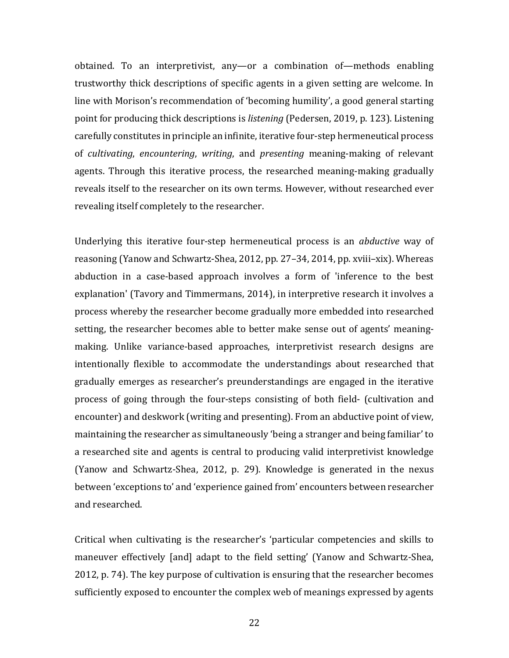obtained. To an interpretivist, any—or a combination of—methods enabling trustworthy thick descriptions of specific agents in a given setting are welcome. In line with Morison's recommendation of 'becoming humility', a good general starting point for producing thick descriptions is *listening* (Pedersen, 2019, p. 123). Listening carefully constitutes in principle an infinite, iterative four-step hermeneutical process of *cultivating*, *encountering*, *writing*, and *presenting* meaning-making of relevant agents. Through this iterative process, the researched meaning-making gradually reveals itself to the researcher on its own terms. However, without researched ever revealing itself completely to the researcher.

Underlying this iterative four-step hermeneutical process is an *abductive* way of reasoning (Yanow and Schwartz-Shea, 2012, pp. 27–34, 2014, pp. xviii–xix). Whereas abduction in a case-based approach involves a form of 'inference to the best explanation' (Tavory and Timmermans, 2014), in interpretive research it involves a process whereby the researcher become gradually more embedded into researched setting, the researcher becomes able to better make sense out of agents' meaningmaking. Unlike variance-based approaches, interpretivist research designs are intentionally flexible to accommodate the understandings about researched that gradually emerges as researcher's preunderstandings are engaged in the iterative process of going through the four-steps consisting of both field- (cultivation and encounter) and deskwork (writing and presenting). From an abductive point of view, maintaining the researcher as simultaneously 'being a stranger and being familiar' to a researched site and agents is central to producing valid interpretivist knowledge (Yanow and Schwartz-Shea, 2012, p. 29). Knowledge is generated in the nexus between 'exceptions to' and 'experience gained from' encounters between researcher and researched.

Critical when cultivating is the researcher's 'particular competencies and skills to maneuver effectively [and] adapt to the field setting' (Yanow and Schwartz-Shea, 2012, p. 74). The key purpose of cultivation is ensuring that the researcher becomes sufficiently exposed to encounter the complex web of meanings expressed by agents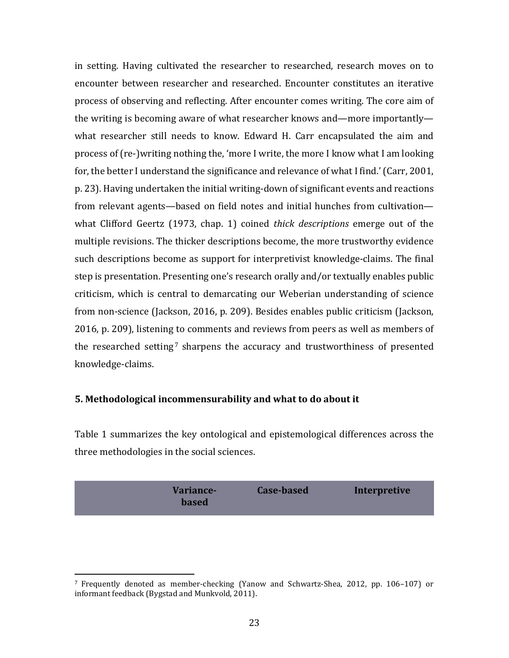in setting. Having cultivated the researcher to researched, research moves on to encounter between researcher and researched. Encounter constitutes an iterative process of observing and reflecting. After encounter comes writing. The core aim of the writing is becoming aware of what researcher knows and—more importantly what researcher still needs to know. Edward H. Carr encapsulated the aim and process of (re-)writing nothing the, 'more I write, the more I know what I am looking for, the better I understand the significance and relevance of what I find.' (Carr, 2001, p. 23). Having undertaken the initial writing-down of significant events and reactions from relevant agents—based on field notes and initial hunches from cultivation what Clifford Geertz (1973, chap. 1) coined *thick descriptions* emerge out of the multiple revisions. The thicker descriptions become, the more trustworthy evidence such descriptions become as support for interpretivist knowledge-claims. The final step is presentation. Presenting one's research orally and/or textually enables public criticism, which is central to demarcating our Weberian understanding of science from non-science (Jackson, 2016, p. 209). Besides enables public criticism (Jackson, 2016, p. 209), listening to comments and reviews from peers as well as members of the researched setting<sup>[7](#page-23-0)</sup> sharpens the accuracy and trustworthiness of presented knowledge-claims.

#### **5. Methodological incommensurability and what to do about it**

Table 1 summarizes the key ontological and epistemological differences across the three methodologies in the social sciences.

|  | Variance-<br><b>based</b> | Case-based | <b>Interpretive</b> |
|--|---------------------------|------------|---------------------|
|--|---------------------------|------------|---------------------|

<span id="page-23-0"></span> <sup>7</sup> Frequently denoted as member-checking (Yanow and Schwartz-Shea, 2012, pp. 106–107) or informant feedback (Bygstad and Munkvold, 2011).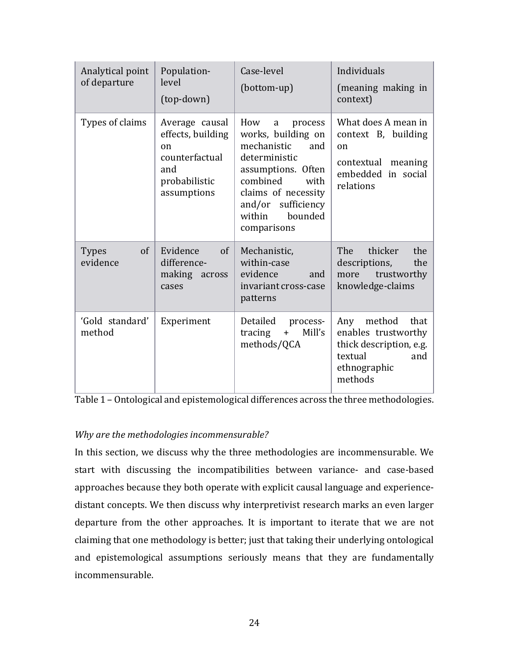| Analytical point<br>of departure          | Population-<br>level<br>(top-down)                                                                 | Case-level<br>(bottom-up)                                                                                                                                                                                   | Individuals<br>(meaning making in<br>context)                                                                        |
|-------------------------------------------|----------------------------------------------------------------------------------------------------|-------------------------------------------------------------------------------------------------------------------------------------------------------------------------------------------------------------|----------------------------------------------------------------------------------------------------------------------|
| Types of claims                           | Average causal<br>effects, building<br>on<br>counterfactual<br>and<br>probabilistic<br>assumptions | How<br>process<br>a<br>works, building on<br>mechanistic<br>and<br>deterministic<br>assumptions. Often<br>combined<br>with<br>claims of necessity<br>and/or sufficiency<br>bounded<br>within<br>comparisons | What does A mean in<br>context B, building<br><sub>on</sub><br>contextual meaning<br>embedded in social<br>relations |
| <sub>of</sub><br><b>Types</b><br>evidence | Evidence<br>$\sigma$<br>difference-<br>making<br>across<br>cases                                   | Mechanistic,<br>within-case<br>evidence<br>and<br>invariant cross-case<br>patterns                                                                                                                          | The<br>thicker<br>the<br>descriptions,<br>the<br>trustworthy<br>more<br>knowledge-claims                             |
| 'Gold standard'<br>method                 | Experiment                                                                                         | Detailed<br>process-<br>Mill's<br>tracing<br>$+$<br>methods/QCA                                                                                                                                             | Any<br>method<br>that<br>enables trustworthy<br>thick description, e.g.<br>textual<br>and<br>ethnographic<br>methods |

Table 1 – Ontological and epistemological differences across the three methodologies.

### *Why are the methodologies incommensurable?*

In this section, we discuss why the three methodologies are incommensurable. We start with discussing the incompatibilities between variance- and case-based approaches because they both operate with explicit causal language and experiencedistant concepts. We then discuss why interpretivist research marks an even larger departure from the other approaches. It is important to iterate that we are not claiming that one methodology is better; just that taking their underlying ontological and epistemological assumptions seriously means that they are fundamentally incommensurable.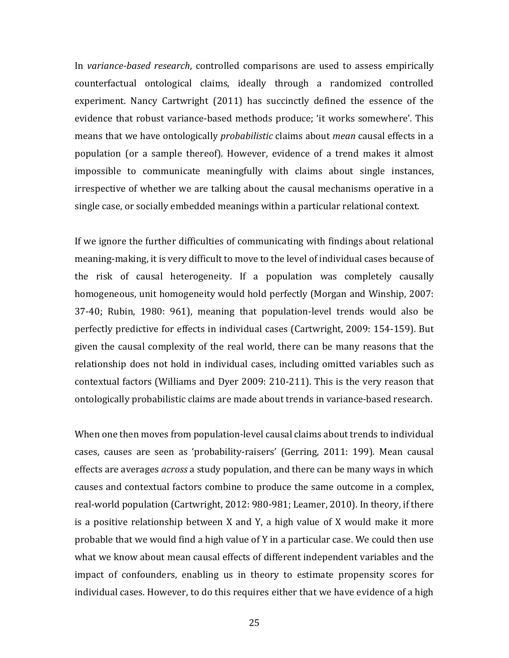In *variance-based research*, controlled comparisons are used to assess empirically counterfactual ontological claims, ideally through a randomized controlled experiment. Nancy Cartwright (2011) has succinctly defined the essence of the evidence that robust variance-based methods produce; 'it works somewhere'. This means that we have ontologically *probabilistic* claims about *mean* causal effects in a population (or a sample thereof). However, evidence of a trend makes it almost impossible to communicate meaningfully with claims about single instances, irrespective of whether we are talking about the causal mechanisms operative in a single case, or socially embedded meanings within a particular relational context.

If we ignore the further difficulties of communicating with findings about relational meaning-making, it is very difficult to move to the level of individual cases because of the risk of causal heterogeneity. If a population was completely causally homogeneous, unit homogeneity would hold perfectly (Morgan and Winship, 2007: 37-40; Rubin, 1980: 961), meaning that population-level trends would also be perfectly predictive for effects in individual cases (Cartwright, 2009: 154-159). But given the causal complexity of the real world, there can be many reasons that the relationship does not hold in individual cases, including omitted variables such as contextual factors (Williams and Dyer 2009: 210-211). This is the very reason that ontologically probabilistic claims are made about trends in variance-based research.

When one then moves from population-level causal claims about trends to individual cases, causes are seen as 'probability-raisers' (Gerring, 2011: 199). Mean causal effects are averages *across* a study population, and there can be many ways in which causes and contextual factors combine to produce the same outcome in a complex, real-world population (Cartwright, 2012: 980-981; Leamer, 2010). In theory, if there is a positive relationship between X and Y, a high value of X would make it more probable that we would find a high value of Y in a particular case. We could then use what we know about mean causal effects of different independent variables and the impact of confounders, enabling us in theory to estimate propensity scores for individual cases. However, to do this requires either that we have evidence of a high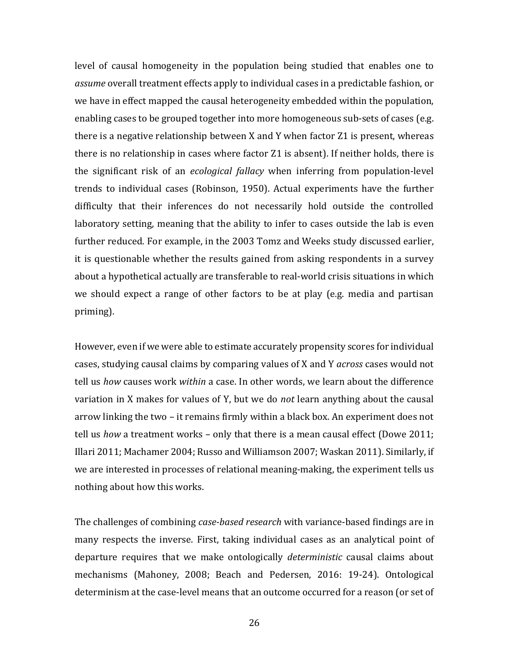level of causal homogeneity in the population being studied that enables one to *assume* overall treatment effects apply to individual cases in a predictable fashion, or we have in effect mapped the causal heterogeneity embedded within the population, enabling cases to be grouped together into more homogeneous sub-sets of cases (e.g. there is a negative relationship between X and Y when factor Z1 is present, whereas there is no relationship in cases where factor Z1 is absent). If neither holds, there is the significant risk of an *ecological fallacy* when inferring from population-level trends to individual cases (Robinson, 1950). Actual experiments have the further difficulty that their inferences do not necessarily hold outside the controlled laboratory setting, meaning that the ability to infer to cases outside the lab is even further reduced. For example, in the 2003 Tomz and Weeks study discussed earlier, it is questionable whether the results gained from asking respondents in a survey about a hypothetical actually are transferable to real-world crisis situations in which we should expect a range of other factors to be at play (e.g. media and partisan priming).

However, even if we were able to estimate accurately propensity scores for individual cases, studying causal claims by comparing values of X and Y *across* cases would not tell us *how* causes work *within* a case. In other words, we learn about the difference variation in X makes for values of Y, but we do *not* learn anything about the causal arrow linking the two – it remains firmly within a black box. An experiment does not tell us *how* a treatment works – only that there is a mean causal effect (Dowe 2011; Illari 2011; Machamer 2004; Russo and Williamson 2007; Waskan 2011). Similarly, if we are interested in processes of relational meaning-making, the experiment tells us nothing about how this works.

The challenges of combining *case-based research* with variance-based findings are in many respects the inverse. First, taking individual cases as an analytical point of departure requires that we make ontologically *deterministic* causal claims about mechanisms (Mahoney, 2008; Beach and Pedersen, 2016: 19-24). Ontological determinism at the case-level means that an outcome occurred for a reason (or set of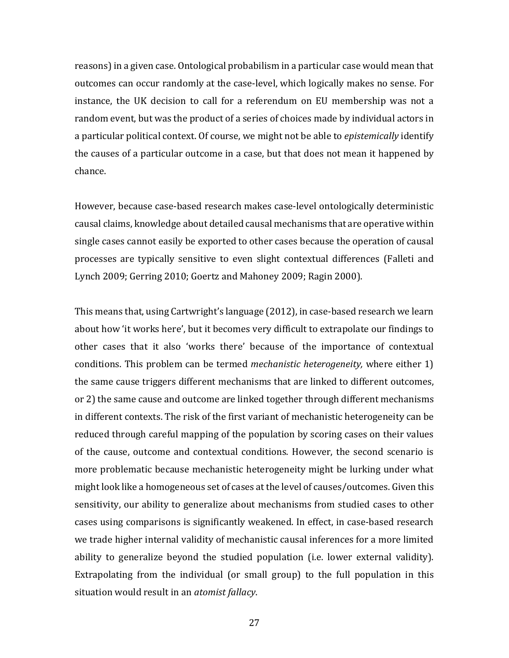reasons) in a given case. Ontological probabilism in a particular case would mean that outcomes can occur randomly at the case-level, which logically makes no sense. For instance, the UK decision to call for a referendum on EU membership was not a random event, but was the product of a series of choices made by individual actors in a particular political context. Of course, we might not be able to *epistemically* identify the causes of a particular outcome in a case, but that does not mean it happened by chance.

However, because case-based research makes case-level ontologically deterministic causal claims, knowledge about detailed causal mechanisms that are operative within single cases cannot easily be exported to other cases because the operation of causal processes are typically sensitive to even slight contextual differences (Falleti and Lynch 2009; Gerring 2010; Goertz and Mahoney 2009; Ragin 2000).

This means that, using Cartwright's language (2012), in case-based research we learn about how 'it works here', but it becomes very difficult to extrapolate our findings to other cases that it also 'works there' because of the importance of contextual conditions. This problem can be termed *mechanistic heterogeneity,* where either 1) the same cause triggers different mechanisms that are linked to different outcomes, or 2) the same cause and outcome are linked together through different mechanisms in different contexts. The risk of the first variant of mechanistic heterogeneity can be reduced through careful mapping of the population by scoring cases on their values of the cause, outcome and contextual conditions. However, the second scenario is more problematic because mechanistic heterogeneity might be lurking under what might look like a homogeneous set of cases at the level of causes/outcomes. Given this sensitivity, our ability to generalize about mechanisms from studied cases to other cases using comparisons is significantly weakened. In effect, in case-based research we trade higher internal validity of mechanistic causal inferences for a more limited ability to generalize beyond the studied population (i.e. lower external validity). Extrapolating from the individual (or small group) to the full population in this situation would result in an *atomist fallacy*.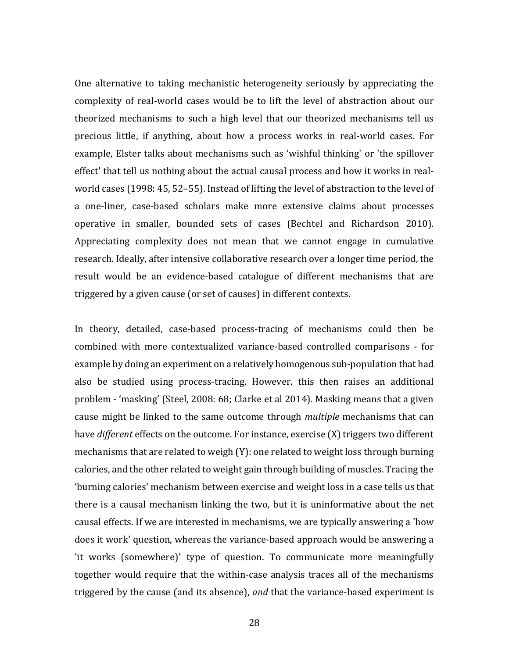One alternative to taking mechanistic heterogeneity seriously by appreciating the complexity of real-world cases would be to lift the level of abstraction about our theorized mechanisms to such a high level that our theorized mechanisms tell us precious little, if anything, about how a process works in real-world cases. For example, Elster talks about mechanisms such as 'wishful thinking' or 'the spillover effect' that tell us nothing about the actual causal process and how it works in realworld cases (1998: 45, 52–55). Instead of lifting the level of abstraction to the level of a one-liner, case-based scholars make more extensive claims about processes operative in smaller, bounded sets of cases (Bechtel and Richardson 2010). Appreciating complexity does not mean that we cannot engage in cumulative research. Ideally, after intensive collaborative research over a longer time period, the result would be an evidence-based catalogue of different mechanisms that are triggered by a given cause (or set of causes) in different contexts.

In theory, detailed, case-based process-tracing of mechanisms could then be combined with more contextualized variance-based controlled comparisons - for example by doing an experiment on a relatively homogenous sub-population that had also be studied using process-tracing. However, this then raises an additional problem - 'masking' (Steel, 2008: 68; Clarke et al 2014). Masking means that a given cause might be linked to the same outcome through *multiple* mechanisms that can have *different* effects on the outcome. For instance, exercise (X) triggers two different mechanisms that are related to weigh (Y): one related to weight loss through burning calories, and the other related to weight gain through building of muscles. Tracing the 'burning calories' mechanism between exercise and weight loss in a case tells us that there is a causal mechanism linking the two, but it is uninformative about the net causal effects. If we are interested in mechanisms, we are typically answering a 'how does it work' question, whereas the variance-based approach would be answering a 'it works (somewhere)' type of question. To communicate more meaningfully together would require that the within-case analysis traces all of the mechanisms triggered by the cause (and its absence), *and* that the variance-based experiment is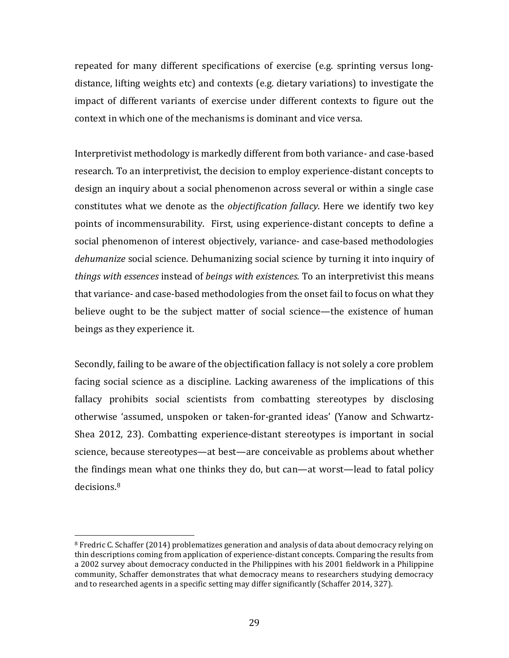repeated for many different specifications of exercise (e.g. sprinting versus longdistance, lifting weights etc) and contexts (e.g. dietary variations) to investigate the impact of different variants of exercise under different contexts to figure out the context in which one of the mechanisms is dominant and vice versa.

Interpretivist methodology is markedly different from both variance- and case-based research. To an interpretivist, the decision to employ experience-distant concepts to design an inquiry about a social phenomenon across several or within a single case constitutes what we denote as the *objectification fallacy*. Here we identify two key points of incommensurability. First, using experience-distant concepts to define a social phenomenon of interest objectively, variance- and case-based methodologies *dehumanize* social science. Dehumanizing social science by turning it into inquiry of *things with essences* instead of *beings with existences*. To an interpretivist this means that variance- and case-based methodologies from the onset fail to focus on what they believe ought to be the subject matter of social science—the existence of human beings as they experience it.

Secondly, failing to be aware of the objectification fallacy is not solely a core problem facing social science as a discipline. Lacking awareness of the implications of this fallacy prohibits social scientists from combatting stereotypes by disclosing otherwise 'assumed, unspoken or taken-for-granted ideas' (Yanow and Schwartz-Shea 2012, 23). Combatting experience-distant stereotypes is important in social science, because stereotypes—at best—are conceivable as problems about whether the findings mean what one thinks they do, but can—at worst—lead to fatal policy decisions.[8](#page-29-0)

<span id="page-29-0"></span><sup>&</sup>lt;sup>8</sup> Fredric C. Schaffer (2014) problematizes generation and analysis of data about democracy relying on thin descriptions coming from application of experience-distant concepts. Comparing the results from a 2002 survey about democracy conducted in the Philippines with his 2001 fieldwork in a Philippine community, Schaffer demonstrates that what democracy means to researchers studying democracy and to researched agents in a specific setting may differ significantly (Schaffer 2014, 327).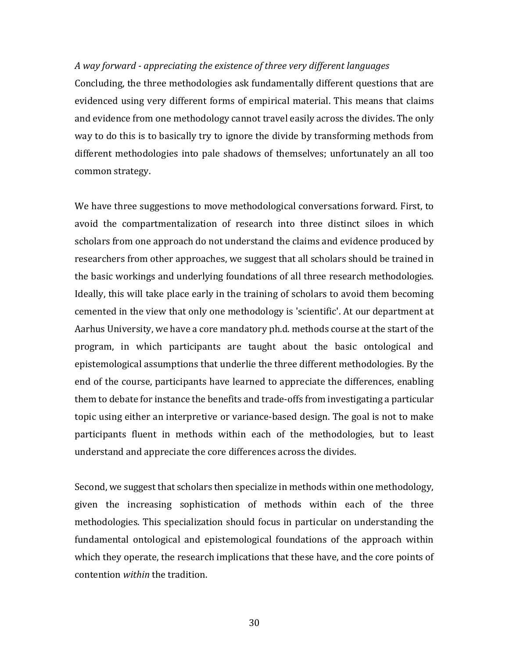#### *A way forward - appreciating the existence of three very different languages*

Concluding, the three methodologies ask fundamentally different questions that are evidenced using very different forms of empirical material. This means that claims and evidence from one methodology cannot travel easily across the divides. The only way to do this is to basically try to ignore the divide by transforming methods from different methodologies into pale shadows of themselves; unfortunately an all too common strategy.

We have three suggestions to move methodological conversations forward. First, to avoid the compartmentalization of research into three distinct siloes in which scholars from one approach do not understand the claims and evidence produced by researchers from other approaches, we suggest that all scholars should be trained in the basic workings and underlying foundations of all three research methodologies. Ideally, this will take place early in the training of scholars to avoid them becoming cemented in the view that only one methodology is 'scientific'. At our department at Aarhus University, we have a core mandatory ph.d. methods course at the start of the program, in which participants are taught about the basic ontological and epistemological assumptions that underlie the three different methodologies. By the end of the course, participants have learned to appreciate the differences, enabling them to debate for instance the benefits and trade-offs from investigating a particular topic using either an interpretive or variance-based design. The goal is not to make participants fluent in methods within each of the methodologies, but to least understand and appreciate the core differences across the divides.

Second, we suggest that scholars then specialize in methods within one methodology, given the increasing sophistication of methods within each of the three methodologies. This specialization should focus in particular on understanding the fundamental ontological and epistemological foundations of the approach within which they operate, the research implications that these have, and the core points of contention *within* the tradition.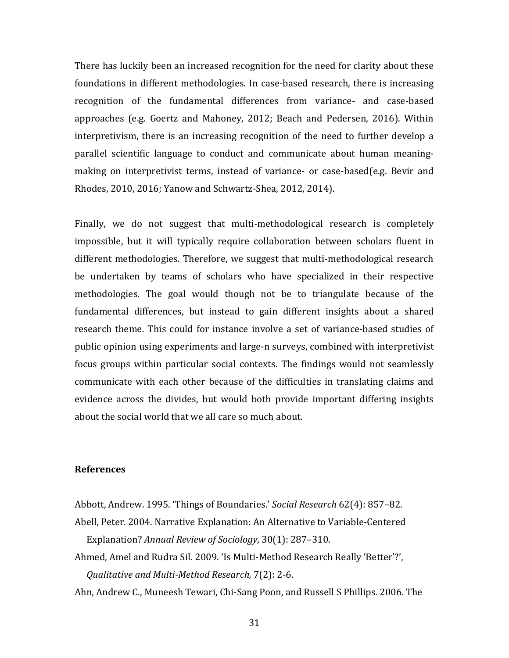There has luckily been an increased recognition for the need for clarity about these foundations in different methodologies. In case-based research, there is increasing recognition of the fundamental differences from variance- and case-based approaches (e.g. Goertz and Mahoney, 2012; Beach and Pedersen, 2016). Within interpretivism, there is an increasing recognition of the need to further develop a parallel scientific language to conduct and communicate about human meaningmaking on interpretivist terms, instead of variance- or case-based(e.g. Bevir and Rhodes, 2010, 2016; Yanow and Schwartz-Shea, 2012, 2014).

Finally, we do not suggest that multi-methodological research is completely impossible, but it will typically require collaboration between scholars fluent in different methodologies. Therefore, we suggest that multi-methodological research be undertaken by teams of scholars who have specialized in their respective methodologies. The goal would though not be to triangulate because of the fundamental differences, but instead to gain different insights about a shared research theme. This could for instance involve a set of variance-based studies of public opinion using experiments and large-n surveys, combined with interpretivist focus groups within particular social contexts. The findings would not seamlessly communicate with each other because of the difficulties in translating claims and evidence across the divides, but would both provide important differing insights about the social world that we all care so much about.

#### **References**

Abbott, Andrew. 1995. 'Things of Boundaries.' *Social Research* 62(4): 857–82. Abell, Peter. 2004. Narrative Explanation: An Alternative to Variable-Centered Explanation? *Annual Review of Sociology*, 30(1): 287–310.

Ahmed, Amel and Rudra Sil. 2009. 'Is Multi-Method Research Really 'Better'?', *Qualitative and Multi-Method Research,* 7(2): 2-6.

Ahn, Andrew C., Muneesh Tewari, Chi-Sang Poon, and Russell S Phillips. 2006. The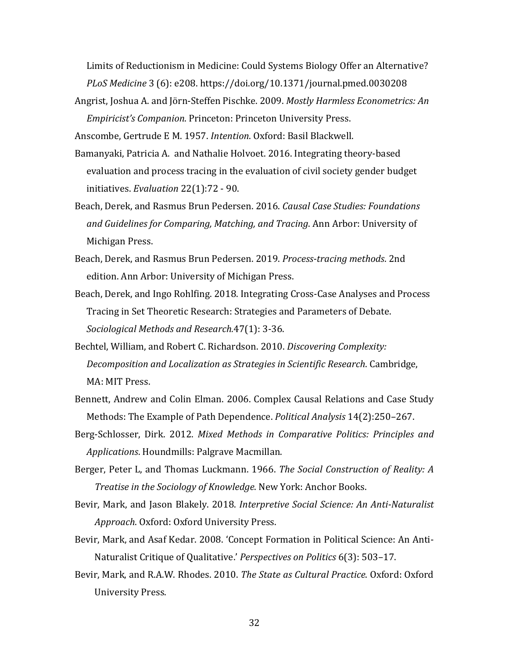Limits of Reductionism in Medicine: Could Systems Biology Offer an Alternative? *PLoS Medicine* 3 (6): e208. https://doi.org/10.1371/journal.pmed.0030208

Angrist, Joshua A. and Jörn-Steffen Pischke. 2009. *Mostly Harmless Econometrics: An Empiricist's Companion*. Princeton: Princeton University Press.

Anscombe, Gertrude E M. 1957. *Intention*. Oxford: Basil Blackwell.

- Bamanyaki, Patricia A. and Nathalie Holvoet. 2016. Integrating theory-based evaluation and process tracing in the evaluation of civil society gender budget initiatives. *Evaluation* 22(1):72 - 90.
- Beach, Derek, and Rasmus Brun Pedersen. 2016. *Causal Case Studies: Foundations and Guidelines for Comparing, Matching, and Tracing*. Ann Arbor: University of Michigan Press.
- Beach, Derek, and Rasmus Brun Pedersen. 2019. *Process-tracing methods*. 2nd edition. Ann Arbor: University of Michigan Press.
- Beach, Derek, and Ingo Rohlfing. 2018. Integrating Cross-Case Analyses and Process Tracing in Set Theoretic Research: Strategies and Parameters of Debate. *Sociological Methods and Research.*47(1): 3-36.
- Bechtel, William, and Robert C. Richardson. 2010. *Discovering Complexity: Decomposition and Localization as Strategies in Scientific Research*. Cambridge, MA: MIT Press.
- Bennett, Andrew and Colin Elman. 2006. Complex Causal Relations and Case Study Methods: The Example of Path Dependence. *Political Analysis* 14(2):250–267.
- Berg-Schlosser, Dirk. 2012. *Mixed Methods in Comparative Politics: Principles and Applications*. Houndmills: Palgrave Macmillan.
- Berger, Peter L, and Thomas Luckmann. 1966. *The Social Construction of Reality: A Treatise in the Sociology of Knowledge*. New York: Anchor Books.
- Bevir, Mark, and Jason Blakely. 2018. *Interpretive Social Science: An Anti-Naturalist Approach*. Oxford: Oxford University Press.
- Bevir, Mark, and Asaf Kedar. 2008. 'Concept Formation in Political Science: An Anti-Naturalist Critique of Qualitative.' *Perspectives on Politics* 6(3): 503–17.
- Bevir, Mark, and R.A.W. Rhodes. 2010. *The State as Cultural Practice*. Oxford: Oxford University Press.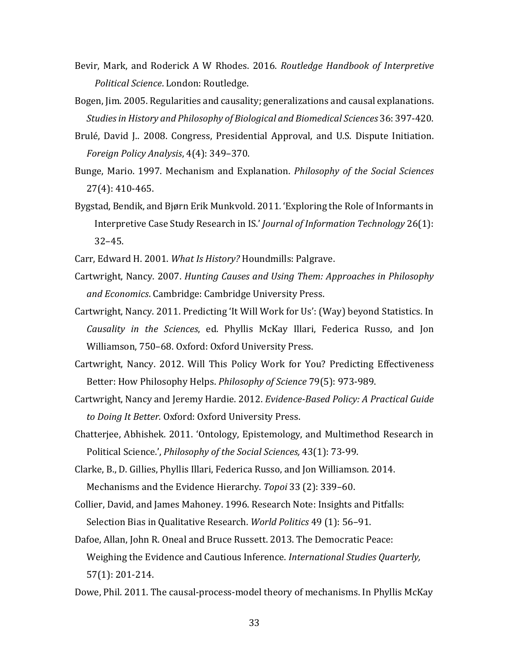- Bevir, Mark, and Roderick A W Rhodes. 2016. *Routledge Handbook of Interpretive Political Science*. London: Routledge.
- Bogen, Jim. 2005. Regularities and causality; generalizations and causal explanations. *Studies in History and Philosophy of Biological and Biomedical Sciences* 36: 397-420.
- Brulé, David J.. 2008. Congress, Presidential Approval, and U.S. Dispute Initiation. *Foreign Policy Analysis*, 4(4): 349–370.
- Bunge, Mario. 1997. Mechanism and Explanation. *Philosophy of the Social Sciences*  27(4): 410-465.
- Bygstad, Bendik, and Bjørn Erik Munkvold. 2011. 'Exploring the Role of Informants in Interpretive Case Study Research in IS.' *Journal of Information Technology* 26(1): 32–45.
- Carr, Edward H. 2001. *What Is History?* Houndmills: Palgrave.
- Cartwright, Nancy. 2007. *Hunting Causes and Using Them: Approaches in Philosophy and Economics*. Cambridge: Cambridge University Press.
- Cartwright, Nancy. 2011. Predicting 'It Will Work for Us': (Way) beyond Statistics. In *Causality in the Sciences*, ed. Phyllis McKay Illari, Federica Russo, and Jon Williamson, 750–68. Oxford: Oxford University Press.
- Cartwright, Nancy. 2012. Will This Policy Work for You? Predicting Effectiveness Better: How Philosophy Helps. *Philosophy of Science* 79(5): 973-989.
- Cartwright, Nancy and Jeremy Hardie. 2012. *Evidence-Based Policy: A Practical Guide to Doing It Better.* Oxford: Oxford University Press.
- Chatterjee, Abhishek. 2011. 'Ontology, Epistemology, and Multimethod Research in Political Science.', *Philosophy of the Social Sciences,* 43(1): 73-99.
- Clarke, B., D. Gillies, Phyllis Illari, Federica Russo, and Jon Williamson. 2014. Mechanisms and the Evidence Hierarchy. *Topoi* 33 (2): 339–60.
- Collier, David, and James Mahoney. 1996. Research Note: Insights and Pitfalls: Selection Bias in Qualitative Research. *World Politics* 49 (1): 56–91.
- Dafoe, Allan, John R. Oneal and Bruce Russett. 2013. The Democratic Peace: Weighing the Evidence and Cautious Inference. *International Studies Quarterly,*  57(1): 201-214.
- Dowe, Phil. 2011. The causal-process-model theory of mechanisms. In Phyllis McKay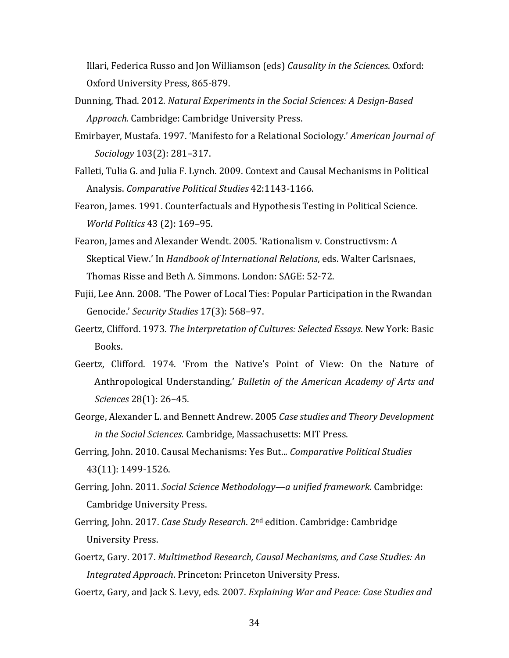Illari, Federica Russo and Jon Williamson (eds) *Causality in the Sciences*. Oxford: Oxford University Press, 865-879.

- Dunning, Thad. 2012. *Natural Experiments in the Social Sciences: A Design-Based Approach.* Cambridge: Cambridge University Press.
- Emirbayer, Mustafa. 1997. 'Manifesto for a Relational Sociology.' *American Journal of Sociology* 103(2): 281–317.
- Falleti, Tulia G. and Julia F. Lynch. 2009. Context and Causal Mechanisms in Political Analysis. *Comparative Political Studies* 42:1143-1166.
- Fearon, James. 1991. Counterfactuals and Hypothesis Testing in Political Science. *World Politics* 43 (2): 169–95.
- Fearon, James and Alexander Wendt. 2005. 'Rationalism v. Constructivsm: A Skeptical View.' In *Handbook of International Relations*, eds. Walter Carlsnaes, Thomas Risse and Beth A. Simmons. London: SAGE: 52-72.
- Fujii, Lee Ann. 2008. 'The Power of Local Ties: Popular Participation in the Rwandan Genocide.' *Security Studies* 17(3): 568–97.
- Geertz, Clifford. 1973. *The Interpretation of Cultures: Selected Essays*. New York: Basic Books.
- Geertz, Clifford. 1974. 'From the Native's Point of View: On the Nature of Anthropological Understanding.' *Bulletin of the American Academy of Arts and Sciences* 28(1): 26–45.
- George, Alexander L. and Bennett Andrew. 2005 *Case studies and Theory Development in the Social Sciences.* Cambridge, Massachusetts: MIT Press.
- Gerring, John. 2010. Causal Mechanisms: Yes But... *Comparative Political Studies*  43(11): 1499-1526.
- Gerring, John. 2011. *Social Science Methodology—a unified framework*. Cambridge: Cambridge University Press.
- Gerring, John. 2017. *Case Study Research*. 2nd edition. Cambridge: Cambridge University Press.
- Goertz, Gary. 2017. *Multimethod Research, Causal Mechanisms, and Case Studies: An Integrated Approach*. Princeton: Princeton University Press.
- Goertz, Gary, and Jack S. Levy, eds. 2007. *Explaining War and Peace: Case Studies and*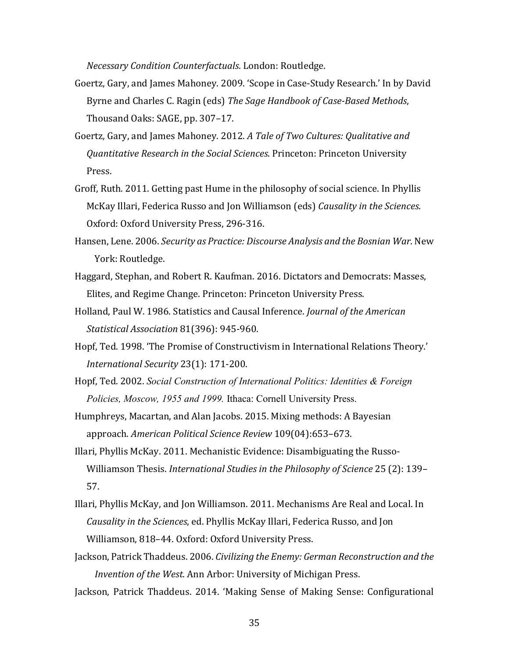*Necessary Condition Counterfactuals*. London: Routledge.

- Goertz, Gary, and James Mahoney. 2009. 'Scope in Case-Study Research.' In by David Byrne and Charles C. Ragin (eds) *The Sage Handbook of Case-Based Methods*, Thousand Oaks: SAGE, pp. 307–17.
- Goertz, Gary, and James Mahoney. 2012. *A Tale of Two Cultures: Qualitative and Quantitative Research in the Social Sciences*. Princeton: Princeton University Press.
- Groff, Ruth. 2011. Getting past Hume in the philosophy of social science. In Phyllis McKay Illari, Federica Russo and Jon Williamson (eds) *Causality in the Sciences*. Oxford: Oxford University Press, 296-316.
- Hansen, Lene. 2006. *Security as Practice: Discourse Analysis and the Bosnian War*. New York: Routledge.
- Haggard, Stephan, and Robert R. Kaufman. 2016. Dictators and Democrats: Masses, Elites, and Regime Change. Princeton: Princeton University Press.
- Holland, Paul W. 1986. Statistics and Causal Inference. *Journal of the American Statistical Association* 81(396): 945-960.
- Hopf, Ted. 1998. 'The Promise of Constructivism in International Relations Theory.' *International Security* 23(1): 171-200.
- Hopf, Ted. 2002. *Social Construction of International Politics: Identities & Foreign Policies, Moscow, 1955 and 1999.* Ithaca: Cornell University Press.
- Humphreys, Macartan, and Alan Jacobs. 2015. Mixing methods: A Bayesian approach. *American Political Science Review* 109(04):653–673.
- Illari, Phyllis McKay. 2011. Mechanistic Evidence: Disambiguating the Russo-Williamson Thesis. *International Studies in the Philosophy of Science* 25 (2): 139– 57.
- Illari, Phyllis McKay, and Jon Williamson. 2011. Mechanisms Are Real and Local. In *Causality in the Sciences*, ed. Phyllis McKay Illari, Federica Russo, and Jon Williamson, 818–44. Oxford: Oxford University Press.
- Jackson, Patrick Thaddeus. 2006. *Civilizing the Enemy: German Reconstruction and the Invention of the West*. Ann Arbor: University of Michigan Press.
- Jackson, Patrick Thaddeus. 2014. 'Making Sense of Making Sense: Configurational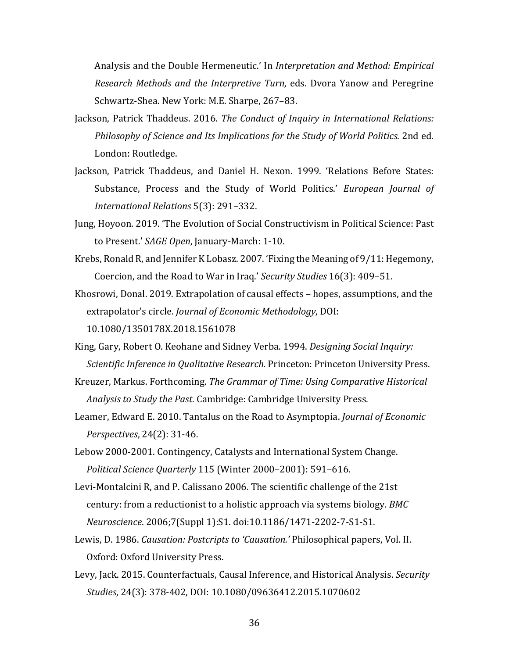Analysis and the Double Hermeneutic.' In *Interpretation and Method: Empirical Research Methods and the Interpretive Turn*, eds. Dvora Yanow and Peregrine Schwartz-Shea. New York: M.E. Sharpe, 267–83.

- Jackson, Patrick Thaddeus. 2016. *The Conduct of Inquiry in International Relations: Philosophy of Science and Its Implications for the Study of World Politics*. 2nd ed. London: Routledge.
- Jackson, Patrick Thaddeus, and Daniel H. Nexon. 1999. 'Relations Before States: Substance, Process and the Study of World Politics.' *European Journal of International Relations* 5(3): 291–332.
- Jung, Hoyoon. 2019. 'The Evolution of Social Constructivism in Political Science: Past to Present.' *SAGE Open*, January-March: 1-10.
- Krebs, Ronald R, and Jennifer K Lobasz. 2007. 'Fixing the Meaning of 9/11: Hegemony, Coercion, and the Road to War in Iraq.' *Security Studies* 16(3): 409–51.
- Khosrowi, Donal. 2019. Extrapolation of causal effects hopes, assumptions, and the extrapolator's circle. *Journal of Economic Methodology*, DOI: 10.1080/1350178X.2018.1561078
- King, Gary, Robert O. Keohane and Sidney Verba. 1994. *Designing Social Inquiry: Scientific Inference in Qualitative Research.* Princeton: Princeton University Press.
- Kreuzer, Markus. Forthcoming. *The Grammar of Time: Using Comparative Historical Analysis to Study the Past*. Cambridge: Cambridge University Press.
- Leamer, Edward E. 2010. Tantalus on the Road to Asymptopia. *Journal of Economic Perspectives*, 24(2): 31-46.
- Lebow 2000-2001. Contingency, Catalysts and International System Change. *Political Science Quarterly* 115 (Winter 2000–2001): 591–616.
- Levi-Montalcini R, and P. Calissano 2006. The scientific challenge of the 21st century: from a reductionist to a holistic approach via systems biology. *BMC Neuroscience*. 2006;7(Suppl 1):S1. doi:10.1186/1471-2202-7-S1-S1.
- Lewis, D. 1986. *Causation: Postcripts to 'Causation.'* Philosophical papers, Vol. II. Oxford: Oxford University Press.
- Levy, Jack. 2015. Counterfactuals, Causal Inference, and Historical Analysis. *Security Studies*, 24(3): 378-402, DOI: 10.1080/09636412.2015.1070602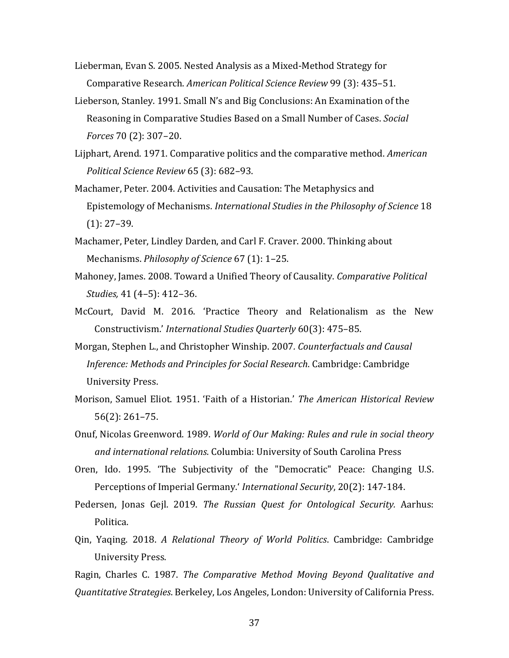- Lieberman, Evan S. 2005. Nested Analysis as a Mixed-Method Strategy for Comparative Research. *American Political Science Review* 99 (3): 435–51.
- Lieberson, Stanley. 1991. Small N's and Big Conclusions: An Examination of the Reasoning in Comparative Studies Based on a Small Number of Cases. *Social Forces* 70 (2): 307–20.
- Lijphart, Arend. 1971. Comparative politics and the comparative method. *American Political Science Review* 65 (3): 682–93.
- Machamer, Peter. 2004. Activities and Causation: The Metaphysics and Epistemology of Mechanisms. *International Studies in the Philosophy of Science* 18 (1): 27–39.
- Machamer, Peter, Lindley Darden, and Carl F. Craver. 2000. Thinking about Mechanisms. *Philosophy of Science* 67 (1): 1–25.
- Mahoney, James. 2008. Toward a Unified Theory of Causality. *Comparative Political Studies,* 41 (4–5): 412–36.
- McCourt, David M. 2016. 'Practice Theory and Relationalism as the New Constructivism.' *International Studies Quarterly* 60(3): 475–85.
- Morgan, Stephen L., and Christopher Winship. 2007*. Counterfactuals and Causal Inference: Methods and Principles for Social Research*. Cambridge: Cambridge University Press.
- Morison, Samuel Eliot. 1951. 'Faith of a Historian.' *The American Historical Review* 56(2): 261–75.
- Onuf, Nicolas Greenword. 1989. *World of Our Making: Rules and rule in social theory and international relations*. Columbia: University of South Carolina Press
- Oren, Ido. 1995. 'The Subjectivity of the "Democratic" Peace: Changing U.S. Perceptions of Imperial Germany.' *International Security*, 20(2): 147-184.
- Pedersen, Jonas Gejl. 2019. *The Russian Quest for Ontological Security.* Aarhus: Politica.
- Qin, Yaqing. 2018. *A Relational Theory of World Politics*. Cambridge: Cambridge University Press.

Ragin, Charles C. 1987. *The Comparative Method Moving Beyond Qualitative and Quantitative Strategies*. Berkeley, Los Angeles, London: University of California Press.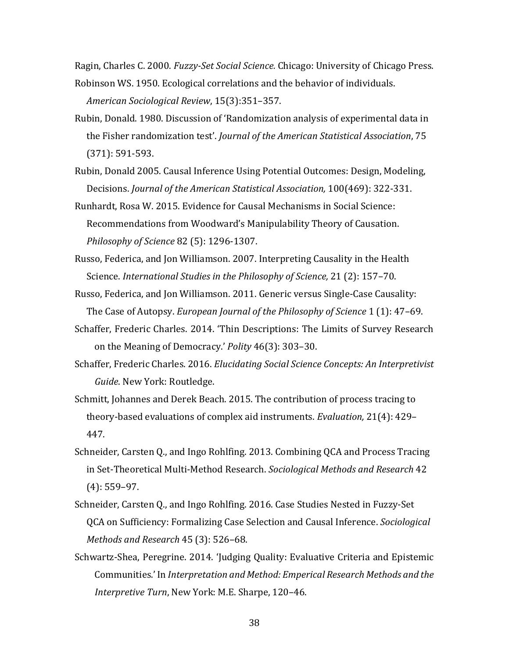Ragin, Charles C. 2000. *Fuzzy-Set Social Science.* Chicago: University of Chicago Press.

- Robinson WS. 1950. Ecological correlations and the behavior of individuals. *American Sociological Review*, 15(3):351–357.
- Rubin, Donald. 1980. Discussion of 'Randomization analysis of experimental data in the Fisher randomization test'. *Journal of the American Statistical Association*, 75 (371): 591-593.
- Rubin, Donald 2005. Causal Inference Using Potential Outcomes: Design, Modeling, Decisions. *Journal of the American Statistical Association,* 100(469): 322-331.
- Runhardt, Rosa W. 2015. Evidence for Causal Mechanisms in Social Science: Recommendations from Woodward's Manipulability Theory of Causation. *Philosophy of Science* 82 (5): 1296-1307.
- Russo, Federica, and Jon Williamson. 2007. Interpreting Causality in the Health Science. *International Studies in the Philosophy of Science,* 21 (2): 157–70.
- Russo, Federica, and Jon Williamson. 2011. Generic versus Single-Case Causality: The Case of Autopsy. *European Journal of the Philosophy of Science* 1 (1): 47–69.
- Schaffer, Frederic Charles. 2014. 'Thin Descriptions: The Limits of Survey Research on the Meaning of Democracy.' *Polity* 46(3): 303–30.
- Schaffer, Frederic Charles. 2016. *Elucidating Social Science Concepts: An Interpretivist Guide*. New York: Routledge.
- Schmitt, Johannes and Derek Beach. 2015. The contribution of process tracing to theory-based evaluations of complex aid instruments. *Evaluation,* 21(4): 429– 447.
- Schneider, Carsten Q., and Ingo Rohlfing. 2013. Combining QCA and Process Tracing in Set-Theoretical Multi-Method Research. *Sociological Methods and Research* 42 (4): 559–97.
- Schneider, Carsten Q., and Ingo Rohlfing. 2016. Case Studies Nested in Fuzzy-Set QCA on Sufficiency: Formalizing Case Selection and Causal Inference. *Sociological Methods and Research* 45 (3): 526–68.
- Schwartz-Shea, Peregrine. 2014. 'Judging Quality: Evaluative Criteria and Epistemic Communities.' In *Interpretation and Method: Emperical Research Methods and the Interpretive Turn*, New York: M.E. Sharpe, 120–46.